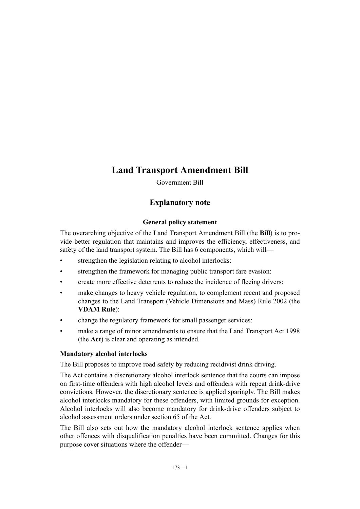## **Land Transport Amendment Bill**

Government Bill

## **Explanatory note**

### **General policy statement**

The overarching objective of the Land Transport Amendment Bill (the **Bill**) is to provide better regulation that maintains and improves the efficiency, effectiveness, and safety of the land transport system. The Bill has 6 components, which will—

- strengthen the legislation relating to alcohol interlocks:
- strengthen the framework for managing public transport fare evasion:
- create more effective deterrents to reduce the incidence of fleeing drivers:
- make changes to heavy vehicle regulation, to complement recent and proposed changes to the Land Transport (Vehicle Dimensions and Mass) Rule 2002 (the **VDAM Rule**):
- change the regulatory framework for small passenger services:
- make a range of minor amendments to ensure that the Land Transport Act 1998 (the **Act**) is clear and operating as intended.

#### **Mandatory alcohol interlocks**

The Bill proposes to improve road safety by reducing recidivist drink driving.

The Act contains a discretionary alcohol interlock sentence that the courts can impose on first-time offenders with high alcohol levels and offenders with repeat drink-drive convictions. However, the discretionary sentence is applied sparingly. The Bill makes alcohol interlocks mandatory for these offenders, with limited grounds for exception. Alcohol interlocks will also become mandatory for drink-drive offenders subject to alcohol assessment orders under section 65 of the Act.

The Bill also sets out how the mandatory alcohol interlock sentence applies when other offences with disqualification penalties have been committed. Changes for this purpose cover situations where the offender—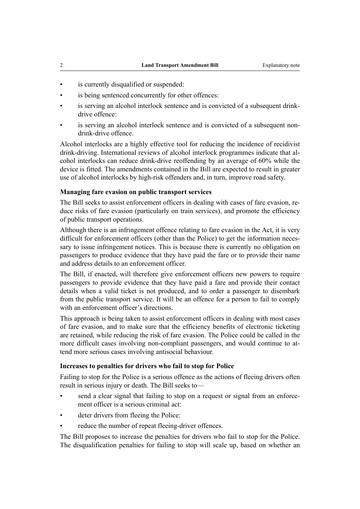- is currently disqualified or suspended:
- is being sentenced concurrently for other offences:
- is serving an alcohol interlock sentence and is convicted of a subsequent drinkdrive offence:
- is serving an alcohol interlock sentence and is convicted of a subsequent nondrink-drive offence.

Alcohol interlocks are a highly effective tool for reducing the incidence of recidivist drink-driving. International reviews of alcohol interlock programmes indicate that alcohol interlocks can reduce drink-drive reoffending by an average of 60% while the device is fitted. The amendments contained in the Bill are expected to result in greater use of alcohol interlocks by high-risk offenders and, in turn, improve road safety.

#### **Managing fare evasion on public transport services**

The Bill seeks to assist enforcement officers in dealing with cases of fare evasion, reduce risks of fare evasion (particularly on train services), and promote the efficiency of public transport operations.

Although there is an infringement offence relating to fare evasion in the Act, it is very difficult for enforcement officers (other than the Police) to get the information necessary to issue infringement notices. This is because there is currently no obligation on passengers to produce evidence that they have paid the fare or to provide their name and address details to an enforcement officer.

The Bill, if enacted, will therefore give enforcement officers new powers to require passengers to provide evidence that they have paid a fare and provide their contact details when a valid ticket is not produced, and to order a passenger to disembark from the public transport service. It will be an offence for a person to fail to comply with an enforcement officer's directions.

This approach is being taken to assist enforcement officers in dealing with most cases of fare evasion, and to make sure that the efficiency benefits of electronic ticketing are retained, while reducing the risk of fare evasion. The Police could be called in the more difficult cases involving non-compliant passengers, and would continue to attend more serious cases involving antisocial behaviour.

#### **Increases to penalties for drivers who fail to stop for Police**

Failing to stop for the Police is a serious offence as the actions of fleeing drivers often result in serious injury or death. The Bill seeks to—

- send a clear signal that failing to stop on a request or signal from an enforcement officer is a serious criminal act:
- deter drivers from fleeing the Police:
- reduce the number of repeat fleeing-driver offences.

The Bill proposes to increase the penalties for drivers who fail to stop for the Police. The disqualification penalties for failing to stop will scale up, based on whether an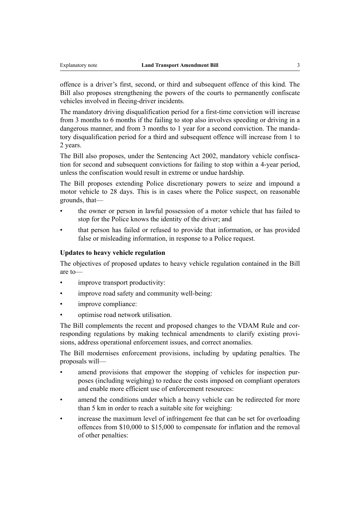offence is a driver's first, second, or third and subsequent offence of this kind. The Bill also proposes strengthening the powers of the courts to permanently confiscate vehicles involved in fleeing-driver incidents.

The mandatory driving disqualification period for a first-time conviction will increase from 3 months to 6 months if the failing to stop also involves speeding or driving in a dangerous manner, and from 3 months to 1 year for a second conviction. The mandatory disqualification period for a third and subsequent offence will increase from 1 to 2 years.

The Bill also proposes, under the Sentencing Act 2002, mandatory vehicle confiscation for second and subsequent convictions for failing to stop within a 4-year period, unless the confiscation would result in extreme or undue hardship.

The Bill proposes extending Police discretionary powers to seize and impound a motor vehicle to 28 days. This is in cases where the Police suspect, on reasonable grounds, that—

- the owner or person in lawful possession of a motor vehicle that has failed to stop for the Police knows the identity of the driver; and
- that person has failed or refused to provide that information, or has provided false or misleading information, in response to a Police request.

#### **Updates to heavy vehicle regulation**

The objectives of proposed updates to heavy vehicle regulation contained in the Bill are to—

- improve transport productivity:
- improve road safety and community well-being:
- improve compliance:
- optimise road network utilisation.

The Bill complements the recent and proposed changes to the VDAM Rule and corresponding regulations by making technical amendments to clarify existing provisions, address operational enforcement issues, and correct anomalies.

The Bill modernises enforcement provisions, including by updating penalties. The proposals will—

- amend provisions that empower the stopping of vehicles for inspection purposes (including weighing) to reduce the costs imposed on compliant operators and enable more efficient use of enforcement resources:
- amend the conditions under which a heavy vehicle can be redirected for more than 5 km in order to reach a suitable site for weighing:
- increase the maximum level of infringement fee that can be set for overloading offences from \$10,000 to \$15,000 to compensate for inflation and the removal of other penalties: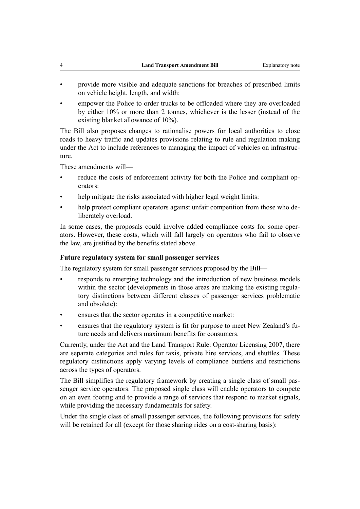- provide more visible and adequate sanctions for breaches of prescribed limits on vehicle height, length, and width:
- empower the Police to order trucks to be offloaded where they are overloaded by either 10% or more than 2 tonnes, whichever is the lesser (instead of the existing blanket allowance of 10%).

The Bill also proposes changes to rationalise powers for local authorities to close roads to heavy traffic and updates provisions relating to rule and regulation making under the Act to include references to managing the impact of vehicles on infrastructure.

These amendments will—

- reduce the costs of enforcement activity for both the Police and compliant operators:
- help mitigate the risks associated with higher legal weight limits:
- help protect compliant operators against unfair competition from those who deliberately overload.

In some cases, the proposals could involve added compliance costs for some operators. However, these costs, which will fall largely on operators who fail to observe the law, are justified by the benefits stated above.

#### **Future regulatory system for small passenger services**

The regulatory system for small passenger services proposed by the Bill—

- responds to emerging technology and the introduction of new business models within the sector (developments in those areas are making the existing regulatory distinctions between different classes of passenger services problematic and obsolete):
- ensures that the sector operates in a competitive market:
- ensures that the regulatory system is fit for purpose to meet New Zealand's future needs and delivers maximum benefits for consumers.

Currently, under the Act and the Land Transport Rule: Operator Licensing 2007, there are separate categories and rules for taxis, private hire services, and shuttles. These regulatory distinctions apply varying levels of compliance burdens and restrictions across the types of operators.

The Bill simplifies the regulatory framework by creating a single class of small passenger service operators. The proposed single class will enable operators to compete on an even footing and to provide a range of services that respond to market signals, while providing the necessary fundamentals for safety.

Under the single class of small passenger services, the following provisions for safety will be retained for all (except for those sharing rides on a cost-sharing basis):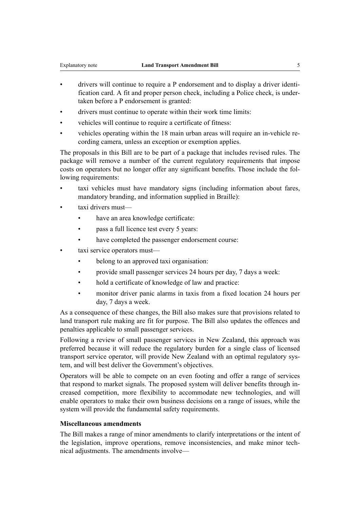- drivers will continue to require a P endorsement and to display a driver identification card. A fit and proper person check, including a Police check, is undertaken before a P endorsement is granted:
- drivers must continue to operate within their work time limits:
- vehicles will continue to require a certificate of fitness:
- vehicles operating within the 18 main urban areas will require an in-vehicle recording camera, unless an exception or exemption applies.

The proposals in this Bill are to be part of a package that includes revised rules. The package will remove a number of the current regulatory requirements that impose costs on operators but no longer offer any significant benefits. Those include the following requirements:

- taxi vehicles must have mandatory signs (including information about fares, mandatory branding, and information supplied in Braille):
- taxi drivers must
	- have an area knowledge certificate:
	- pass a full licence test every 5 years:
	- have completed the passenger endorsement course:
- taxi service operators must
	- belong to an approved taxi organisation:
	- provide small passenger services 24 hours per day, 7 days a week:
	- hold a certificate of knowledge of law and practice:
	- monitor driver panic alarms in taxis from a fixed location 24 hours per day, 7 days a week.

As a consequence of these changes, the Bill also makes sure that provisions related to land transport rule making are fit for purpose. The Bill also updates the offences and penalties applicable to small passenger services.

Following a review of small passenger services in New Zealand, this approach was preferred because it will reduce the regulatory burden for a single class of licensed transport service operator, will provide New Zealand with an optimal regulatory system, and will best deliver the Government's objectives.

Operators will be able to compete on an even footing and offer a range of services that respond to market signals. The proposed system will deliver benefits through increased competition, more flexibility to accommodate new technologies, and will enable operators to make their own business decisions on a range of issues, while the system will provide the fundamental safety requirements.

#### **Miscellaneous amendments**

The Bill makes a range of minor amendments to clarify interpretations or the intent of the legislation, improve operations, remove inconsistencies, and make minor technical adjustments. The amendments involve—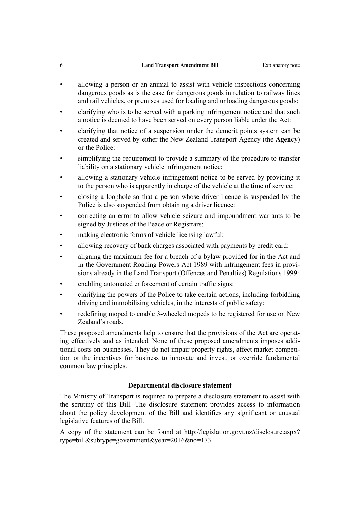- allowing a person or an animal to assist with vehicle inspections concerning dangerous goods as is the case for dangerous goods in relation to railway lines and rail vehicles, or premises used for loading and unloading dangerous goods:
- clarifying who is to be served with a parking infringement notice and that such a notice is deemed to have been served on every person liable under the Act:
- clarifying that notice of a suspension under the demerit points system can be created and served by either the New Zealand Transport Agency (the **Agency**) or the Police:
- simplifying the requirement to provide a summary of the procedure to transfer liability on a stationary vehicle infringement notice:
- allowing a stationary vehicle infringement notice to be served by providing it to the person who is apparently in charge of the vehicle at the time of service:
- closing a loophole so that a person whose driver licence is suspended by the Police is also suspended from obtaining a driver licence:
- correcting an error to allow vehicle seizure and impoundment warrants to be signed by Justices of the Peace or Registrars:
- making electronic forms of vehicle licensing lawful:
- allowing recovery of bank charges associated with payments by credit card:
- aligning the maximum fee for a breach of a bylaw provided for in the Act and in the Government Roading Powers Act 1989 with infringement fees in provisions already in the Land Transport (Offences and Penalties) Regulations 1999:
- enabling automated enforcement of certain traffic signs:
- clarifying the powers of the Police to take certain actions, including forbidding driving and immobilising vehicles, in the interests of public safety:
- redefining moped to enable 3-wheeled mopeds to be registered for use on New Zealand's roads.

These proposed amendments help to ensure that the provisions of the Act are operating effectively and as intended. None of these proposed amendments imposes additional costs on businesses. They do not impair property rights, affect market competition or the incentives for business to innovate and invest, or override fundamental common law principles.

#### **Departmental disclosure statement**

The Ministry of Transport is required to prepare a disclosure statement to assist with the scrutiny of this Bill. The disclosure statement provides access to information about the policy development of the Bill and identifies any significant or unusual legislative features of the Bill.

A copy of the statement can be found at [http://legislation.govt.nz/disclosure.aspx?](http://legislation.govt.nz/disclosure.aspx?type=bill&subtype=government&year=2016&no=173) [type=bill&subtype=government&year=2016&no=173](http://legislation.govt.nz/disclosure.aspx?type=bill&subtype=government&year=2016&no=173)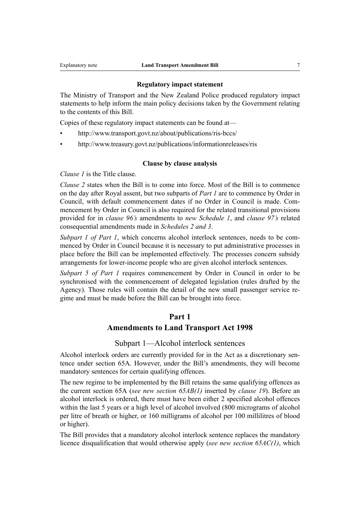#### **Regulatory impact statement**

The Ministry of Transport and the New Zealand Police produced regulatory impact statements to help inform the main policy decisions taken by the Government relating to the contents of this Bill.

Copies of these regulatory impact statements can be found at—

- <http://www.transport.govt.nz/about/publications/ris-bccs/>
- <http://www.treasury.govt.nz/publications/informationreleases/ris>

#### **Clause by clause analysis**

*Clause 1* is the Title clause.

*Clause 2* states when the Bill is to come into force. Most of the Bill is to commence on the day after Royal assent, but two subparts of *Part 1* are to commence by Order in Council, with default commencement dates if no Order in Council is made. Commencement by Order in Council is also required for the related transitional provisions provided for in *clause 96's* amendments to *new Schedule 1*, and *clause 97's* related consequential amendments made in *Schedules 2 and 3*.

*Subpart 1 of Part 1*, which concerns alcohol interlock sentences, needs to be commenced by Order in Council because it is necessary to put administrative processes in place before the Bill can be implemented effectively. The processes concern subsidy arrangements for lower-income people who are given alcohol interlock sentences.

*Subpart 5 of Part 1* requires commencement by Order in Council in order to be synchronised with the commencement of delegated legislation (rules drafted by the Agency). Those rules will contain the detail of the new small passenger service regime and must be made before the Bill can be brought into force.

#### **Part 1**

#### **Amendments to Land Transport Act 1998**

#### Subpart 1—Alcohol interlock sentences

Alcohol interlock orders are currently provided for in the Act as a discretionary sentence under section 65A. However, under the Bill's amendments, they will become mandatory sentences for certain qualifying offences.

The new regime to be implemented by the Bill retains the same qualifying offences as the current section 65A (*see new section 65AB(1)* inserted by *clause 19*). Before an alcohol interlock is ordered, there must have been either 2 specified alcohol offences within the last 5 years or a high level of alcohol involved (800 micrograms of alcohol per litre of breath or higher, or 160 milligrams of alcohol per 100 millilitres of blood or higher).

The Bill provides that a mandatory alcohol interlock sentence replaces the mandatory licence disqualification that would otherwise apply (*see new section 65AC(1)*, which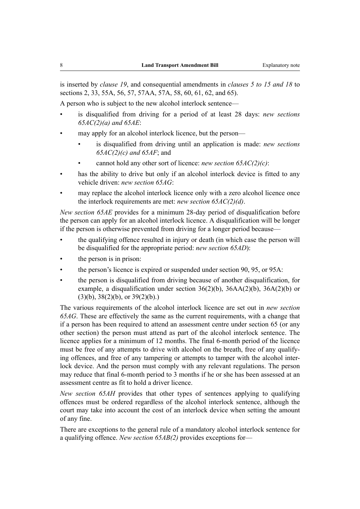is inserted by *clause 19*, and consequential amendments in *clauses 5 to 15 and 18* to sections 2, 33, 55A, 56, 57, 57AA, 57A, 58, 60, 61, 62, and 65).

A person who is subject to the new alcohol interlock sentence—

- is disqualified from driving for a period of at least 28 days: *new sections 65AC(2)(a) and 65AE*:
- may apply for an alcohol interlock licence, but the person—
	- is disqualified from driving until an application is made: *new sections 65AC(2)(c) and 65AF*; and
	- cannot hold any other sort of licence: *new section 65AC(2)(c)*:
- has the ability to drive but only if an alcohol interlock device is fitted to any vehicle driven: *new section 65AG*:
- may replace the alcohol interlock licence only with a zero alcohol licence once the interlock requirements are met: *new section 65AC(2)(d)*.

*New section 65AE* provides for a minimum 28-day period of disqualification before the person can apply for an alcohol interlock licence. A disqualification will be longer if the person is otherwise prevented from driving for a longer period because—

- the qualifying offence resulted in injury or death (in which case the person will be disqualified for the appropriate period: *new section 65AD*):
- the person is in prison:
- the person's licence is expired or suspended under section 90, 95, or 95A:
- the person is disqualified from driving because of another disqualification, for example, a disqualification under section  $36(2)(b)$ ,  $36AA(2)(b)$ ,  $36A(2)(b)$  or  $(3)(b)$ ,  $38(2)(b)$ , or  $39(2)(b)$ .)

The various requirements of the alcohol interlock licence are set out in *new section 65AG*. These are effectively the same as the current requirements, with a change that if a person has been required to attend an assessment centre under section 65 (or any other section) the person must attend as part of the alcohol interlock sentence. The licence applies for a minimum of 12 months. The final 6-month period of the licence must be free of any attempts to drive with alcohol on the breath, free of any qualifying offences, and free of any tampering or attempts to tamper with the alcohol interlock device. And the person must comply with any relevant regulations. The person may reduce that final 6-month period to 3 months if he or she has been assessed at an assessment centre as fit to hold a driver licence.

*New section 65AH* provides that other types of sentences applying to qualifying offences must be ordered regardless of the alcohol interlock sentence, although the court may take into account the cost of an interlock device when setting the amount of any fine.

There are exceptions to the general rule of a mandatory alcohol interlock sentence for a qualifying offence. *New section 65AB(2)* provides exceptions for—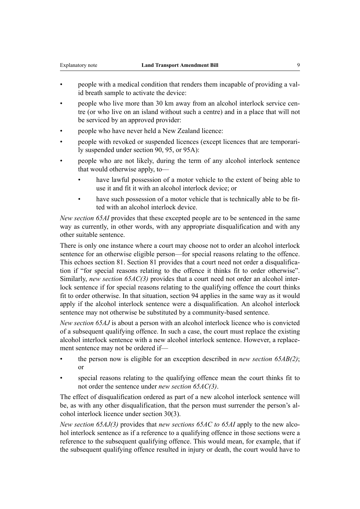- people with a medical condition that renders them incapable of providing a valid breath sample to activate the device:
- people who live more than 30 km away from an alcohol interlock service centre (or who live on an island without such a centre) and in a place that will not be serviced by an approved provider:
- people who have never held a New Zealand licence:
- people with revoked or suspended licences (except licences that are temporarily suspended under section 90, 95, or 95A):
- people who are not likely, during the term of any alcohol interlock sentence that would otherwise apply, to
	- have lawful possession of a motor vehicle to the extent of being able to use it and fit it with an alcohol interlock device; or
	- have such possession of a motor vehicle that is technically able to be fitted with an alcohol interlock device.

*New section 65AI* provides that these excepted people are to be sentenced in the same way as currently, in other words, with any appropriate disqualification and with any other suitable sentence.

There is only one instance where a court may choose not to order an alcohol interlock sentence for an otherwise eligible person—for special reasons relating to the offence. This echoes section 81. Section 81 provides that a court need not order a disqualification if "for special reasons relating to the offence it thinks fit to order otherwise". Similarly, *new section 65AC(3)* provides that a court need not order an alcohol interlock sentence if for special reasons relating to the qualifying offence the court thinks fit to order otherwise. In that situation, section 94 applies in the same way as it would apply if the alcohol interlock sentence were a disqualification. An alcohol interlock sentence may not otherwise be substituted by a community-based sentence.

*New section 65AJ* is about a person with an alcohol interlock licence who is convicted of a subsequent qualifying offence. In such a case, the court must replace the existing alcohol interlock sentence with a new alcohol interlock sentence. However, a replacement sentence may not be ordered if—

- the person now is eligible for an exception described in *new section 65AB(2)*; or
- special reasons relating to the qualifying offence mean the court thinks fit to not order the sentence under *new section 65AC(3)*.

The effect of disqualification ordered as part of a new alcohol interlock sentence will be, as with any other disqualification, that the person must surrender the person's alcohol interlock licence under section 30(3).

*New section 65AJ(3)* provides that *new sections 65AC to 65AI* apply to the new alcohol interlock sentence as if a reference to a qualifying offence in those sections were a reference to the subsequent qualifying offence. This would mean, for example, that if the subsequent qualifying offence resulted in injury or death, the court would have to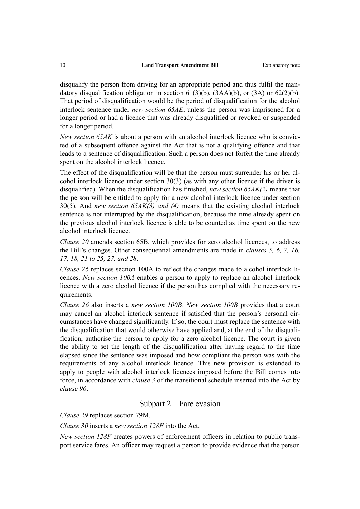disqualify the person from driving for an appropriate period and thus fulfil the mandatory disqualification obligation in section  $61(3)(b)$ ,  $(3AA)(b)$ , or  $(3A)$  or  $62(2)(b)$ . That period of disqualification would be the period of disqualification for the alcohol interlock sentence under *new section 65AE*, unless the person was imprisoned for a longer period or had a licence that was already disqualified or revoked or suspended for a longer period.

*New section 65AK* is about a person with an alcohol interlock licence who is convicted of a subsequent offence against the Act that is not a qualifying offence and that leads to a sentence of disqualification. Such a person does not forfeit the time already spent on the alcohol interlock licence.

The effect of the disqualification will be that the person must surrender his or her alcohol interlock licence under section 30(3) (as with any other licence if the driver is disqualified). When the disqualification has finished, *new section 65AK(2)* means that the person will be entitled to apply for a new alcohol interlock licence under section 30(5). And *new section 65AK(3) and (4)* means that the existing alcohol interlock sentence is not interrupted by the disqualification, because the time already spent on the previous alcohol interlock licence is able to be counted as time spent on the new alcohol interlock licence.

*Clause 20* amends section 65B, which provides for zero alcohol licences, to address the Bill's changes. Other consequential amendments are made in *clauses 5, 6, 7, 16, 17, 18, 21 to 25, 27, and 28*.

*Clause 26* replaces section 100A to reflect the changes made to alcohol interlock licences. *New section 100A* enables a person to apply to replace an alcohol interlock licence with a zero alcohol licence if the person has complied with the necessary requirements.

*Clause 26* also inserts a *new section 100B*. *New section 100B* provides that a court may cancel an alcohol interlock sentence if satisfied that the person's personal circumstances have changed significantly. If so, the court must replace the sentence with the disqualification that would otherwise have applied and, at the end of the disqualification, authorise the person to apply for a zero alcohol licence. The court is given the ability to set the length of the disqualification after having regard to the time elapsed since the sentence was imposed and how compliant the person was with the requirements of any alcohol interlock licence. This new provision is extended to apply to people with alcohol interlock licences imposed before the Bill comes into force, in accordance with *clause 3* of the transitional schedule inserted into the Act by *clause 96*.

#### Subpart 2—Fare evasion

*Clause 29* replaces section 79M.

*Clause 30* inserts a *new section 128F* into the Act.

*New section 128F* creates powers of enforcement officers in relation to public transport service fares. An officer may request a person to provide evidence that the person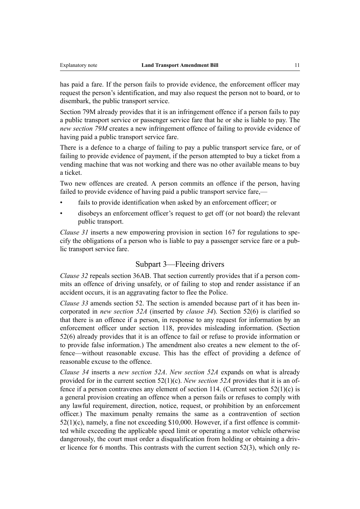has paid a fare. If the person fails to provide evidence, the enforcement officer may request the person's identification, and may also request the person not to board, or to disembark, the public transport service.

Section 79M already provides that it is an infringement offence if a person fails to pay a public transport service or passenger service fare that he or she is liable to pay. The *new section 79M* creates a new infringement offence of failing to provide evidence of having paid a public transport service fare.

There is a defence to a charge of failing to pay a public transport service fare, or of failing to provide evidence of payment, if the person attempted to buy a ticket from a vending machine that was not working and there was no other available means to buy a ticket.

Two new offences are created. A person commits an offence if the person, having failed to provide evidence of having paid a public transport service fare,—

- fails to provide identification when asked by an enforcement officer; or
- disobeys an enforcement officer's request to get off (or not board) the relevant public transport.

*Clause 31* inserts a new empowering provision in section 167 for regulations to specify the obligations of a person who is liable to pay a passenger service fare or a public transport service fare.

#### Subpart 3—Fleeing drivers

*Clause 32* repeals section 36AB. That section currently provides that if a person commits an offence of driving unsafely, or of failing to stop and render assistance if an accident occurs, it is an aggravating factor to flee the Police.

*Clause 33* amends section 52. The section is amended because part of it has been incorporated in *new section 52A* (inserted by *clause 34*). Section 52(6) is clarified so that there is an offence if a person, in response to any request for information by an enforcement officer under section 118, provides misleading information. (Section 52(6) already provides that it is an offence to fail or refuse to provide information or to provide false information.) The amendment also creates a new element to the offence—without reasonable excuse. This has the effect of providing a defence of reasonable excuse to the offence.

*Clause 34* inserts a *new section 52A*. *New section 52A* expands on what is already provided for in the current section 52(1)(c). *New section 52A* provides that it is an offence if a person contravenes any element of section 114. (Current section  $52(1)(c)$  is a general provision creating an offence when a person fails or refuses to comply with any lawful requirement, direction, notice, request, or prohibition by an enforcement officer.) The maximum penalty remains the same as a contravention of section 52(1)(c), namely, a fine not exceeding \$10,000. However, if a first offence is committed while exceeding the applicable speed limit or operating a motor vehicle otherwise dangerously, the court must order a disqualification from holding or obtaining a driver licence for 6 months. This contrasts with the current section 52(3), which only re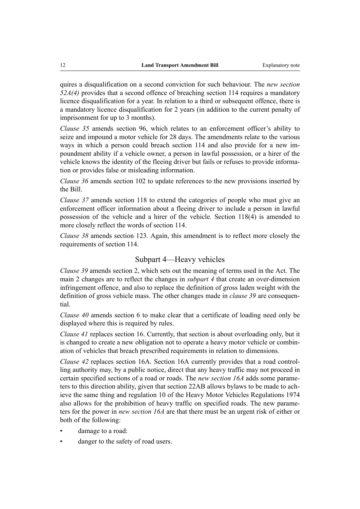quires a disqualification on a second conviction for such behaviour. The *new section 52A(4)* provides that a second offence of breaching section 114 requires a mandatory licence disqualification for a year. In relation to a third or subsequent offence, there is a mandatory licence disqualification for 2 years (in addition to the current penalty of imprisonment for up to 3 months).

*Clause 35* amends section 96, which relates to an enforcement officer's ability to seize and impound a motor vehicle for 28 days. The amendments relate to the various ways in which a person could breach section 114 and also provide for a new impoundment ability if a vehicle owner, a person in lawful possession, or a hirer of the vehicle knows the identity of the fleeing driver but fails or refuses to provide information or provides false or misleading information.

*Clause 36* amends section 102 to update references to the new provisions inserted by the Bill.

*Clause 37* amends section 118 to extend the categories of people who must give an enforcement officer information about a fleeing driver to include a person in lawful possession of the vehicle and a hirer of the vehicle. Section 118(4) is amended to more closely reflect the words of section 114.

*Clause 38* amends section 123. Again, this amendment is to reflect more closely the requirements of section 114.

#### Subpart 4—Heavy vehicles

*Clause 39* amends section 2, which sets out the meaning of terms used in the Act. The main 2 changes are to reflect the changes in *subpart 4* that create an over-dimension infringement offence, and also to replace the definition of gross laden weight with the definition of gross vehicle mass. The other changes made in *clause 39* are consequential.

*Clause 40* amends section 6 to make clear that a certificate of loading need only be displayed where this is required by rules.

*Clause 41* replaces section 16. Currently, that section is about overloading only, but it is changed to create a new obligation not to operate a heavy motor vehicle or combination of vehicles that breach prescribed requirements in relation to dimensions.

*Clause 42* replaces section 16A. Section 16A currently provides that a road controlling authority may, by a public notice, direct that any heavy traffic may not proceed in certain specified sections of a road or roads. The *new section 16A* adds some parameters to this direction ability, given that section 22AB allows bylaws to be made to achieve the same thing and regulation 10 of the Heavy Motor Vehicles Regulations 1974 also allows for the prohibition of heavy traffic on specified roads. The new parameters for the power in *new section 16A* are that there must be an urgent risk of either or both of the following:

- damage to a road:
- danger to the safety of road users.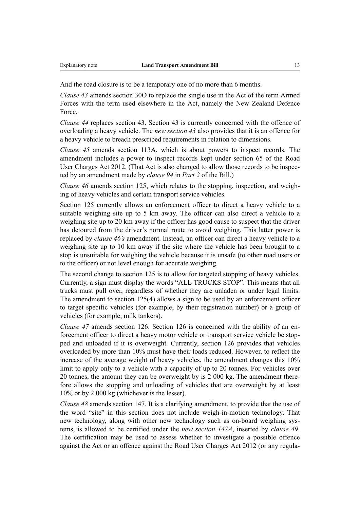And the road closure is to be a temporary one of no more than 6 months.

*Clause 43* amends section 30O to replace the single use in the Act of the term Armed Forces with the term used elsewhere in the Act, namely the New Zealand Defence Force.

*Clause 44* replaces section 43. Section 43 is currently concerned with the offence of overloading a heavy vehicle. The *new section 43* also provides that it is an offence for a heavy vehicle to breach prescribed requirements in relation to dimensions.

*Clause 45* amends section 113A, which is about powers to inspect records. The amendment includes a power to inspect records kept under section 65 of the Road User Charges Act 2012. (That Act is also changed to allow those records to be inspected by an amendment made by *clause 94* in *Part 2* of the Bill.)

*Clause 46* amends section 125, which relates to the stopping, inspection, and weighing of heavy vehicles and certain transport service vehicles.

Section 125 currently allows an enforcement officer to direct a heavy vehicle to a suitable weighing site up to 5 km away. The officer can also direct a vehicle to a weighing site up to 20 km away if the officer has good cause to suspect that the driver has detoured from the driver's normal route to avoid weighing. This latter power is replaced by *clause 46's* amendment. Instead, an officer can direct a heavy vehicle to a weighing site up to 10 km away if the site where the vehicle has been brought to a stop is unsuitable for weighing the vehicle because it is unsafe (to other road users or to the officer) or not level enough for accurate weighing.

The second change to section 125 is to allow for targeted stopping of heavy vehicles. Currently, a sign must display the words "ALL TRUCKS STOP". This means that all trucks must pull over, regardless of whether they are unladen or under legal limits. The amendment to section 125(4) allows a sign to be used by an enforcement officer to target specific vehicles (for example, by their registration number) or a group of vehicles (for example, milk tankers).

*Clause 47* amends section 126. Section 126 is concerned with the ability of an enforcement officer to direct a heavy motor vehicle or transport service vehicle be stopped and unloaded if it is overweight. Currently, section 126 provides that vehicles overloaded by more than 10% must have their loads reduced. However, to reflect the increase of the average weight of heavy vehicles, the amendment changes this 10% limit to apply only to a vehicle with a capacity of up to 20 tonnes. For vehicles over 20 tonnes, the amount they can be overweight by is 2 000 kg. The amendment therefore allows the stopping and unloading of vehicles that are overweight by at least 10% or by 2 000 kg (whichever is the lesser).

*Clause 48* amends section 147. It is a clarifying amendment, to provide that the use of the word "site" in this section does not include weigh-in-motion technology. That new technology, along with other new technology such as on-board weighing systems, is allowed to be certified under the *new section 147A*, inserted by *clause 49*. The certification may be used to assess whether to investigate a possible offence against the Act or an offence against the Road User Charges Act 2012 (or any regula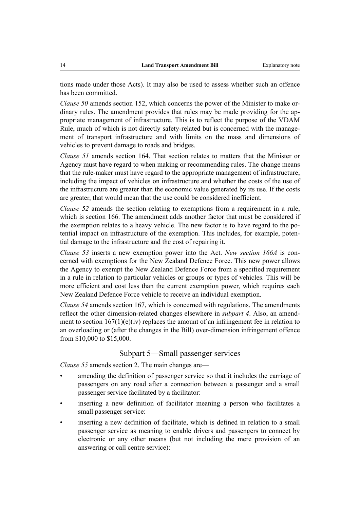tions made under those Acts). It may also be used to assess whether such an offence has been committed.

*Clause 50* amends section 152, which concerns the power of the Minister to make ordinary rules. The amendment provides that rules may be made providing for the appropriate management of infrastructure. This is to reflect the purpose of the VDAM Rule, much of which is not directly safety-related but is concerned with the management of transport infrastructure and with limits on the mass and dimensions of vehicles to prevent damage to roads and bridges.

*Clause 51* amends section 164. That section relates to matters that the Minister or Agency must have regard to when making or recommending rules. The change means that the rule-maker must have regard to the appropriate management of infrastructure, including the impact of vehicles on infrastructure and whether the costs of the use of the infrastructure are greater than the economic value generated by its use. If the costs are greater, that would mean that the use could be considered inefficient.

*Clause 52* amends the section relating to exemptions from a requirement in a rule, which is section 166. The amendment adds another factor that must be considered if the exemption relates to a heavy vehicle. The new factor is to have regard to the potential impact on infrastructure of the exemption. This includes, for example, potential damage to the infrastructure and the cost of repairing it.

*Clause 53* inserts a new exemption power into the Act. *New section 166A* is concerned with exemptions for the New Zealand Defence Force. This new power allows the Agency to exempt the New Zealand Defence Force from a specified requirement in a rule in relation to particular vehicles or groups or types of vehicles. This will be more efficient and cost less than the current exemption power, which requires each New Zealand Defence Force vehicle to receive an individual exemption.

*Clause 54* amends section 167, which is concerned with regulations. The amendments reflect the other dimension-related changes elsewhere in *subpart 4*. Also, an amendment to section  $167(1)(e)(iv)$  replaces the amount of an infringement fee in relation to an overloading or (after the changes in the Bill) over-dimension infringement offence from \$10,000 to \$15,000.

## Subpart 5—Small passenger services

*Clause 55* amends section 2. The main changes are—

- amending the definition of passenger service so that it includes the carriage of passengers on any road after a connection between a passenger and a small passenger service facilitated by a facilitator:
- inserting a new definition of facilitator meaning a person who facilitates a small passenger service:
- inserting a new definition of facilitate, which is defined in relation to a small passenger service as meaning to enable drivers and passengers to connect by electronic or any other means (but not including the mere provision of an answering or call centre service):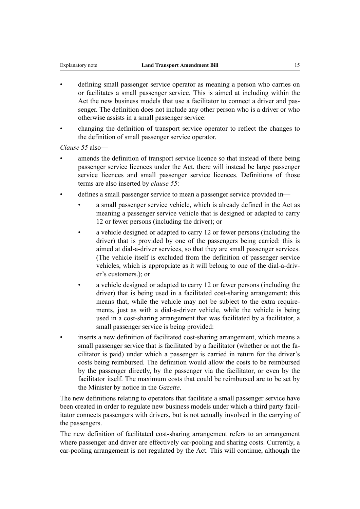- defining small passenger service operator as meaning a person who carries on or facilitates a small passenger service. This is aimed at including within the Act the new business models that use a facilitator to connect a driver and passenger. The definition does not include any other person who is a driver or who otherwise assists in a small passenger service:
- changing the definition of transport service operator to reflect the changes to the definition of small passenger service operator.

*Clause 55* also—

- amends the definition of transport service licence so that instead of there being passenger service licences under the Act, there will instead be large passenger service licences and small passenger service licences. Definitions of those terms are also inserted by *clause 55*:
- defines a small passenger service to mean a passenger service provided in
	- a small passenger service vehicle, which is already defined in the Act as meaning a passenger service vehicle that is designed or adapted to carry 12 or fewer persons (including the driver); or
	- a vehicle designed or adapted to carry 12 or fewer persons (including the driver) that is provided by one of the passengers being carried: this is aimed at dial-a-driver services, so that they are small passenger services. (The vehicle itself is excluded from the definition of passenger service vehicles, which is appropriate as it will belong to one of the dial-a-driver's customers.); or
	- a vehicle designed or adapted to carry 12 or fewer persons (including the driver) that is being used in a facilitated cost-sharing arrangement: this means that, while the vehicle may not be subject to the extra requirements, just as with a dial-a-driver vehicle, while the vehicle is being used in a cost-sharing arrangement that was facilitated by a facilitator, a small passenger service is being provided:
- inserts a new definition of facilitated cost-sharing arrangement, which means a small passenger service that is facilitated by a facilitator (whether or not the facilitator is paid) under which a passenger is carried in return for the driver's costs being reimbursed. The definition would allow the costs to be reimbursed by the passenger directly, by the passenger via the facilitator, or even by the facilitator itself. The maximum costs that could be reimbursed are to be set by the Minister by notice in the *Gazette*.

The new definitions relating to operators that facilitate a small passenger service have been created in order to regulate new business models under which a third party facilitator connects passengers with drivers, but is not actually involved in the carrying of the passengers.

The new definition of facilitated cost-sharing arrangement refers to an arrangement where passenger and driver are effectively car-pooling and sharing costs. Currently, a car-pooling arrangement is not regulated by the Act. This will continue, although the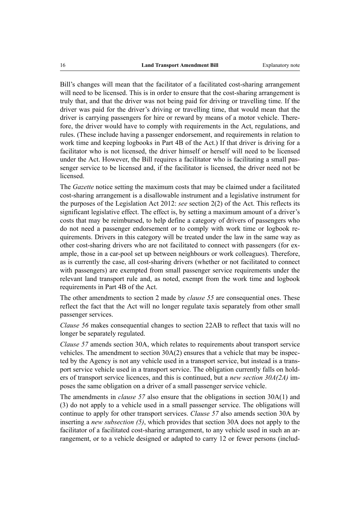Bill's changes will mean that the facilitator of a facilitated cost-sharing arrangement will need to be licensed. This is in order to ensure that the cost-sharing arrangement is truly that, and that the driver was not being paid for driving or travelling time. If the driver was paid for the driver's driving or travelling time, that would mean that the driver is carrying passengers for hire or reward by means of a motor vehicle. Therefore, the driver would have to comply with requirements in the Act, regulations, and rules. (These include having a passenger endorsement, and requirements in relation to work time and keeping logbooks in Part 4B of the Act.) If that driver is driving for a facilitator who is not licensed, the driver himself or herself will need to be licensed under the Act. However, the Bill requires a facilitator who is facilitating a small passenger service to be licensed and, if the facilitator is licensed, the driver need not be **licensed** 

The *Gazette* notice setting the maximum costs that may be claimed under a facilitated cost-sharing arrangement is a disallowable instrument and a legislative instrument for the purposes of the Legislation Act 2012: *see* section 2(2) of the Act. This reflects its significant legislative effect. The effect is, by setting a maximum amount of a driver's costs that may be reimbursed, to help define a category of drivers of passengers who do not need a passenger endorsement or to comply with work time or logbook requirements. Drivers in this category will be treated under the law in the same way as other cost-sharing drivers who are not facilitated to connect with passengers (for example, those in a car-pool set up between neighbours or work colleagues). Therefore, as is currently the case, all cost-sharing drivers (whether or not facilitated to connect with passengers) are exempted from small passenger service requirements under the relevant land transport rule and, as noted, exempt from the work time and logbook requirements in Part 4B of the Act.

The other amendments to section 2 made by *clause 55* are consequential ones. These reflect the fact that the Act will no longer regulate taxis separately from other small passenger services.

*Clause 56* makes consequential changes to section 22AB to reflect that taxis will no longer be separately regulated.

*Clause 57* amends section 30A, which relates to requirements about transport service vehicles. The amendment to section 30A(2) ensures that a vehicle that may be inspected by the Agency is not any vehicle used in a transport service, but instead is a transport service vehicle used in a transport service. The obligation currently falls on holders of transport service licences, and this is continued, but a *new section 30A(2A)* imposes the same obligation on a driver of a small passenger service vehicle.

The amendments in *clause 57* also ensure that the obligations in section 30A(1) and (3) do not apply to a vehicle used in a small passenger service. The obligations will continue to apply for other transport services. *Clause 57* also amends section 30A by inserting a *new subsection (5)*, which provides that section 30A does not apply to the facilitator of a facilitated cost-sharing arrangement, to any vehicle used in such an arrangement, or to a vehicle designed or adapted to carry 12 or fewer persons (includ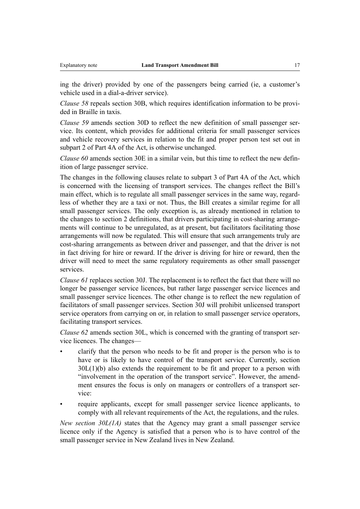ing the driver) provided by one of the passengers being carried (ie, a customer's vehicle used in a dial-a-driver service).

*Clause 58* repeals section 30B, which requires identification information to be provided in Braille in taxis.

*Clause 59* amends section 30D to reflect the new definition of small passenger service. Its content, which provides for additional criteria for small passenger services and vehicle recovery services in relation to the fit and proper person test set out in subpart 2 of Part 4A of the Act, is otherwise unchanged.

*Clause 60* amends section 30E in a similar vein, but this time to reflect the new definition of large passenger service.

The changes in the following clauses relate to subpart 3 of Part 4A of the Act, which is concerned with the licensing of transport services. The changes reflect the Bill's main effect, which is to regulate all small passenger services in the same way, regardless of whether they are a taxi or not. Thus, the Bill creates a similar regime for all small passenger services. The only exception is, as already mentioned in relation to the changes to section 2 definitions, that drivers participating in cost-sharing arrangements will continue to be unregulated, as at present, but facilitators facilitating those arrangements will now be regulated. This will ensure that such arrangements truly are cost-sharing arrangements as between driver and passenger, and that the driver is not in fact driving for hire or reward. If the driver is driving for hire or reward, then the driver will need to meet the same regulatory requirements as other small passenger services.

*Clause 61* replaces section 30J. The replacement is to reflect the fact that there will no longer be passenger service licences, but rather large passenger service licences and small passenger service licences. The other change is to reflect the new regulation of facilitators of small passenger services. Section 30J will prohibit unlicensed transport service operators from carrying on or, in relation to small passenger service operators, facilitating transport services.

*Clause 62* amends section 30L, which is concerned with the granting of transport service licences. The changes—

- clarify that the person who needs to be fit and proper is the person who is to have or is likely to have control of the transport service. Currently, section  $30L(1)(b)$  also extends the requirement to be fit and proper to a person with "involvement in the operation of the transport service". However, the amendment ensures the focus is only on managers or controllers of a transport service:
- require applicants, except for small passenger service licence applicants, to comply with all relevant requirements of the Act, the regulations, and the rules.

*New section 30L(1A)* states that the Agency may grant a small passenger service licence only if the Agency is satisfied that a person who is to have control of the small passenger service in New Zealand lives in New Zealand.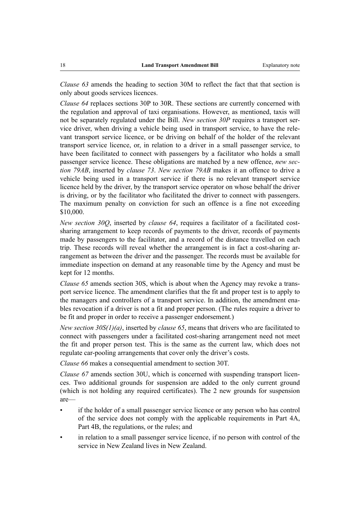*Clause 63* amends the heading to section 30M to reflect the fact that that section is only about goods services licences.

*Clause 64* replaces sections 30P to 30R. These sections are currently concerned with the regulation and approval of taxi organisations. However, as mentioned, taxis will not be separately regulated under the Bill. *New section 30P* requires a transport service driver, when driving a vehicle being used in transport service, to have the relevant transport service licence, or be driving on behalf of the holder of the relevant transport service licence, or, in relation to a driver in a small passenger service, to have been facilitated to connect with passengers by a facilitator who holds a small passenger service licence. These obligations are matched by a new offence, *new section 79AB*, inserted by *clause 73*. *New section 79AB* makes it an offence to drive a vehicle being used in a transport service if there is no relevant transport service licence held by the driver, by the transport service operator on whose behalf the driver is driving, or by the facilitator who facilitated the driver to connect with passengers. The maximum penalty on conviction for such an offence is a fine not exceeding \$10,000.

*New section 30Q*, inserted by *clause 64*, requires a facilitator of a facilitated costsharing arrangement to keep records of payments to the driver, records of payments made by passengers to the facilitator, and a record of the distance travelled on each trip. These records will reveal whether the arrangement is in fact a cost-sharing arrangement as between the driver and the passenger. The records must be available for immediate inspection on demand at any reasonable time by the Agency and must be kept for 12 months.

*Clause 65* amends section 30S, which is about when the Agency may revoke a transport service licence. The amendment clarifies that the fit and proper test is to apply to the managers and controllers of a transport service. In addition, the amendment enables revocation if a driver is not a fit and proper person. (The rules require a driver to be fit and proper in order to receive a passenger endorsement.)

*New section 30S(1)(a)*, inserted by *clause 65*, means that drivers who are facilitated to connect with passengers under a facilitated cost-sharing arrangement need not meet the fit and proper person test. This is the same as the current law, which does not regulate car-pooling arrangements that cover only the driver's costs.

*Clause 66* makes a consequential amendment to section 30T.

*Clause 67* amends section 30U, which is concerned with suspending transport licences. Two additional grounds for suspension are added to the only current ground (which is not holding any required certificates). The 2 new grounds for suspension are—

- if the holder of a small passenger service licence or any person who has control of the service does not comply with the applicable requirements in Part 4A, Part 4B, the regulations, or the rules; and
- in relation to a small passenger service licence, if no person with control of the service in New Zealand lives in New Zealand.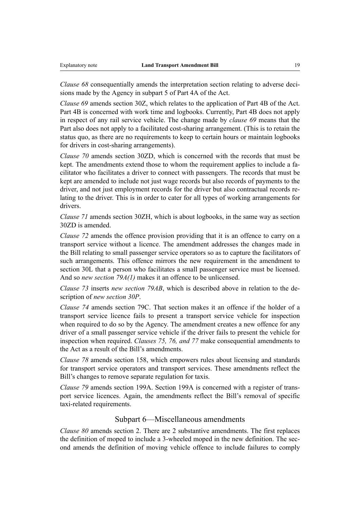*Clause 68* consequentially amends the interpretation section relating to adverse decisions made by the Agency in subpart 5 of Part 4A of the Act.

*Clause 69* amends section 30Z, which relates to the application of Part 4B of the Act. Part 4B is concerned with work time and logbooks. Currently, Part 4B does not apply in respect of any rail service vehicle. The change made by *clause 69* means that the Part also does not apply to a facilitated cost-sharing arrangement. (This is to retain the status quo, as there are no requirements to keep to certain hours or maintain logbooks for drivers in cost-sharing arrangements).

*Clause 70* amends section 30ZD, which is concerned with the records that must be kept. The amendments extend those to whom the requirement applies to include a facilitator who facilitates a driver to connect with passengers. The records that must be kept are amended to include not just wage records but also records of payments to the driver, and not just employment records for the driver but also contractual records relating to the driver. This is in order to cater for all types of working arrangements for drivers.

*Clause 71* amends section 30ZH, which is about logbooks, in the same way as section 30ZD is amended.

*Clause 72* amends the offence provision providing that it is an offence to carry on a transport service without a licence. The amendment addresses the changes made in the Bill relating to small passenger service operators so as to capture the facilitators of such arrangements. This offence mirrors the new requirement in the amendment to section 30L that a person who facilitates a small passenger service must be licensed. And so *new section 79A(1)* makes it an offence to be unlicensed.

*Clause 73* inserts *new section 79AB*, which is described above in relation to the description of *new section 30P*.

*Clause 74* amends section 79C. That section makes it an offence if the holder of a transport service licence fails to present a transport service vehicle for inspection when required to do so by the Agency. The amendment creates a new offence for any driver of a small passenger service vehicle if the driver fails to present the vehicle for inspection when required. *Clauses 75, 76, and 77* make consequential amendments to the Act as a result of the Bill's amendments.

*Clause 78* amends section 158, which empowers rules about licensing and standards for transport service operators and transport services. These amendments reflect the Bill's changes to remove separate regulation for taxis.

*Clause 79* amends section 199A. Section 199A is concerned with a register of transport service licences. Again, the amendments reflect the Bill's removal of specific taxi-related requirements.

#### Subpart 6—Miscellaneous amendments

*Clause 80* amends section 2. There are 2 substantive amendments. The first replaces the definition of moped to include a 3-wheeled moped in the new definition. The second amends the definition of moving vehicle offence to include failures to comply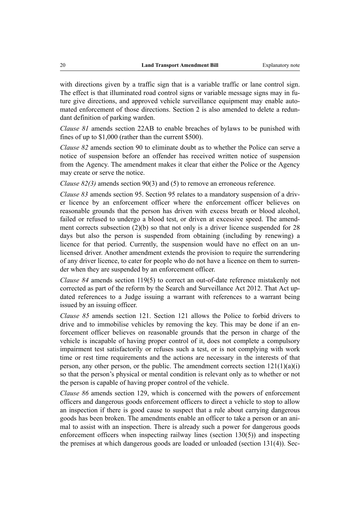with directions given by a traffic sign that is a variable traffic or lane control sign. The effect is that illuminated road control signs or variable message signs may in future give directions, and approved vehicle surveillance equipment may enable automated enforcement of those directions. Section 2 is also amended to delete a redundant definition of parking warden.

*Clause 81* amends section 22AB to enable breaches of bylaws to be punished with fines of up to \$1,000 (rather than the current \$500).

*Clause 82* amends section 90 to eliminate doubt as to whether the Police can serve a notice of suspension before an offender has received written notice of suspension from the Agency. The amendment makes it clear that either the Police or the Agency may create or serve the notice.

*Clause 82(3)* amends section 90(3) and (5) to remove an erroneous reference.

*Clause 83* amends section 95. Section 95 relates to a mandatory suspension of a driver licence by an enforcement officer where the enforcement officer believes on reasonable grounds that the person has driven with excess breath or blood alcohol, failed or refused to undergo a blood test, or driven at excessive speed. The amendment corrects subsection (2)(b) so that not only is a driver licence suspended for 28 days but also the person is suspended from obtaining (including by renewing) a licence for that period. Currently, the suspension would have no effect on an unlicensed driver. Another amendment extends the provision to require the surrendering of any driver licence, to cater for people who do not have a licence on them to surrender when they are suspended by an enforcement officer.

*Clause 84* amends section 119(5) to correct an out-of-date reference mistakenly not corrected as part of the reform by the Search and Surveillance Act 2012. That Act updated references to a Judge issuing a warrant with references to a warrant being issued by an issuing officer.

*Clause 85* amends section 121. Section 121 allows the Police to forbid drivers to drive and to immobilise vehicles by removing the key. This may be done if an enforcement officer believes on reasonable grounds that the person in charge of the vehicle is incapable of having proper control of it, does not complete a compulsory impairment test satisfactorily or refuses such a test, or is not complying with work time or rest time requirements and the actions are necessary in the interests of that person, any other person, or the public. The amendment corrects section  $121(1)(a)(i)$ so that the person's physical or mental condition is relevant only as to whether or not the person is capable of having proper control of the vehicle.

*Clause 86* amends section 129, which is concerned with the powers of enforcement officers and dangerous goods enforcement officers to direct a vehicle to stop to allow an inspection if there is good cause to suspect that a rule about carrying dangerous goods has been broken. The amendments enable an officer to take a person or an animal to assist with an inspection. There is already such a power for dangerous goods enforcement officers when inspecting railway lines (section 130(5)) and inspecting the premises at which dangerous goods are loaded or unloaded (section 131(4)). Sec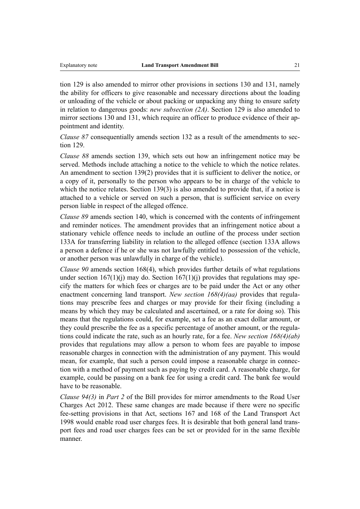tion 129 is also amended to mirror other provisions in sections 130 and 131, namely the ability for officers to give reasonable and necessary directions about the loading or unloading of the vehicle or about packing or unpacking any thing to ensure safety in relation to dangerous goods: *new subsection (2A)*. Section 129 is also amended to mirror sections 130 and 131, which require an officer to produce evidence of their appointment and identity.

*Clause 87* consequentially amends section 132 as a result of the amendments to section 129.

*Clause 88* amends section 139, which sets out how an infringement notice may be served. Methods include attaching a notice to the vehicle to which the notice relates. An amendment to section 139(2) provides that it is sufficient to deliver the notice, or a copy of it, personally to the person who appears to be in charge of the vehicle to which the notice relates. Section 139(3) is also amended to provide that, if a notice is attached to a vehicle or served on such a person, that is sufficient service on every person liable in respect of the alleged offence.

*Clause 89* amends section 140, which is concerned with the contents of infringement and reminder notices. The amendment provides that an infringement notice about a stationary vehicle offence needs to include an outline of the process under section 133A for transferring liability in relation to the alleged offence (section 133A allows a person a defence if he or she was not lawfully entitled to possession of the vehicle, or another person was unlawfully in charge of the vehicle).

*Clause 90* amends section 168(4), which provides further details of what regulations under section  $167(1)(i)$  may do. Section  $167(1)(i)$  provides that regulations may specify the matters for which fees or charges are to be paid under the Act or any other enactment concerning land transport. *New section 168(4)(aa)* provides that regulations may prescribe fees and charges or may provide for their fixing (including a means by which they may be calculated and ascertained, or a rate for doing so). This means that the regulations could, for example, set a fee as an exact dollar amount, or they could prescribe the fee as a specific percentage of another amount, or the regulations could indicate the rate, such as an hourly rate, for a fee. *New section 168(4)(ab)* provides that regulations may allow a person to whom fees are payable to impose reasonable charges in connection with the administration of any payment. This would mean, for example, that such a person could impose a reasonable charge in connection with a method of payment such as paying by credit card. A reasonable charge, for example, could be passing on a bank fee for using a credit card. The bank fee would have to be reasonable.

*Clause 94(3)* in *Part 2* of the Bill provides for mirror amendments to the Road User Charges Act 2012. These same changes are made because if there were no specific fee-setting provisions in that Act, sections 167 and 168 of the Land Transport Act 1998 would enable road user charges fees. It is desirable that both general land transport fees and road user charges fees can be set or provided for in the same flexible manner.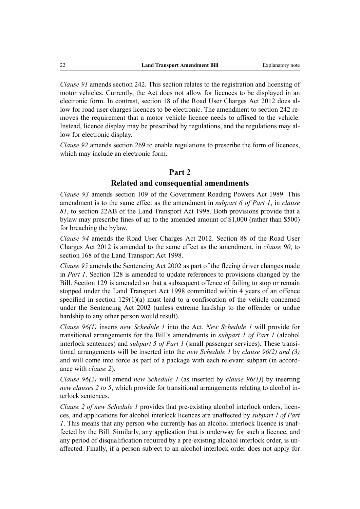*Clause 91* amends section 242. This section relates to the registration and licensing of motor vehicles. Currently, the Act does not allow for licences to be displayed in an electronic form. In contrast, section 18 of the Road User Charges Act 2012 does allow for road user charges licences to be electronic. The amendment to section 242 removes the requirement that a motor vehicle licence needs to affixed to the vehicle. Instead, licence display may be prescribed by regulations, and the regulations may allow for electronic display.

*Clause 92* amends section 269 to enable regulations to prescribe the form of licences, which may include an electronic form.

#### **Part 2**

#### **Related and consequential amendments**

*Clause 93* amends section 109 of the Government Roading Powers Act 1989. This amendment is to the same effect as the amendment in *subpart 6 of Part 1*, in *clause 81*, to section 22AB of the Land Transport Act 1998. Both provisions provide that a bylaw may prescribe fines of up to the amended amount of \$1,000 (rather than \$500) for breaching the bylaw.

*Clause 94* amends the Road User Charges Act 2012. Section 88 of the Road User Charges Act 2012 is amended to the same effect as the amendment, in *clause 90*, to section 168 of the Land Transport Act 1998.

*Clause 95* amends the Sentencing Act 2002 as part of the fleeing driver changes made in *Part 1*. Section 128 is amended to update references to provisions changed by the Bill. Section 129 is amended so that a subsequent offence of failing to stop or remain stopped under the Land Transport Act 1998 committed within 4 years of an offence specified in section 129(1)(a) must lead to a confiscation of the vehicle concerned under the Sentencing Act 2002 (unless extreme hardship to the offender or undue hardship to any other person would result).

*Clause 96(1)* inserts *new Schedule 1* into the Act. *New Schedule 1* will provide for transitional arrangements for the Bill's amendments in *subpart 1 of Part 1* (alcohol interlock sentences) and *subpart 5 of Part 1* (small passenger services). These transitional arrangements will be inserted into the *new Schedule 1* by *clause 96(2) and (3)* and will come into force as part of a package with each relevant subpart (in accordance with *clause 2*).

*Clause 96(2)* will amend *new Schedule 1* (as inserted by *clause 96(1)*) by inserting *new clauses 2 to 5*, which provide for transitional arrangements relating to alcohol interlock sentences.

*Clause 2 of new Schedule 1* provides that pre-existing alcohol interlock orders, licences, and applications for alcohol interlock licences are unaffected by *subpart 1 of Part 1*. This means that any person who currently has an alcohol interlock licence is unaffected by the Bill. Similarly, any application that is underway for such a licence, and any period of disqualification required by a pre-existing alcohol interlock order, is unaffected. Finally, if a person subject to an alcohol interlock order does not apply for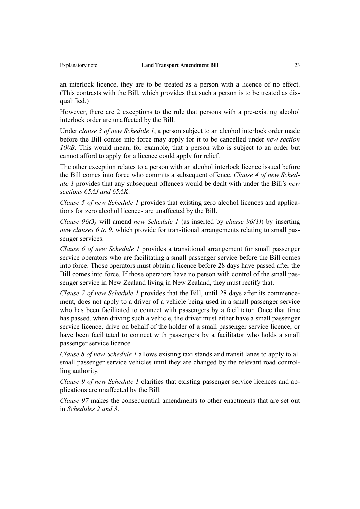an interlock licence, they are to be treated as a person with a licence of no effect. (This contrasts with the Bill, which provides that such a person is to be treated as disqualified.)

However, there are 2 exceptions to the rule that persons with a pre-existing alcohol interlock order are unaffected by the Bill.

Under *clause 3 of new Schedule 1*, a person subject to an alcohol interlock order made before the Bill comes into force may apply for it to be cancelled under *new section 100B*. This would mean, for example, that a person who is subject to an order but cannot afford to apply for a licence could apply for relief.

The other exception relates to a person with an alcohol interlock licence issued before the Bill comes into force who commits a subsequent offence. *Clause 4 of new Schedule 1* provides that any subsequent offences would be dealt with under the Bill's *new sections 65AJ and 65AK*.

*Clause 5 of new Schedule 1* provides that existing zero alcohol licences and applications for zero alcohol licences are unaffected by the Bill.

*Clause 96(3)* will amend *new Schedule 1* (as inserted by *clause 96(1)*) by inserting *new clauses 6 to 9*, which provide for transitional arrangements relating to small passenger services.

*Clause 6 of new Schedule 1* provides a transitional arrangement for small passenger service operators who are facilitating a small passenger service before the Bill comes into force. Those operators must obtain a licence before 28 days have passed after the Bill comes into force. If those operators have no person with control of the small passenger service in New Zealand living in New Zealand, they must rectify that.

*Clause 7 of new Schedule 1* provides that the Bill, until 28 days after its commencement, does not apply to a driver of a vehicle being used in a small passenger service who has been facilitated to connect with passengers by a facilitator. Once that time has passed, when driving such a vehicle, the driver must either have a small passenger service licence, drive on behalf of the holder of a small passenger service licence, or have been facilitated to connect with passengers by a facilitator who holds a small passenger service licence.

*Clause 8 of new Schedule 1* allows existing taxi stands and transit lanes to apply to all small passenger service vehicles until they are changed by the relevant road controlling authority.

*Clause 9 of new Schedule 1* clarifies that existing passenger service licences and applications are unaffected by the Bill.

*Clause 97* makes the consequential amendments to other enactments that are set out in *Schedules 2 and 3*.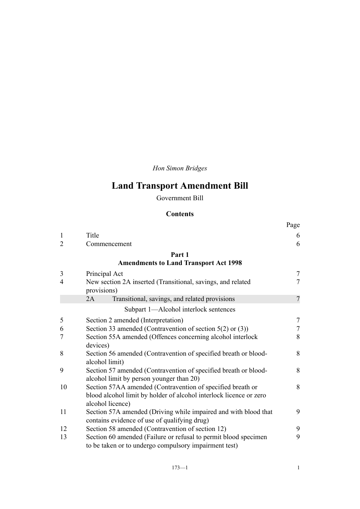*Hon Simon Bridges*

# **Land Transport Amendment Bill**

Government Bill

## **Contents**

|                |                                                                                                                          | Page           |
|----------------|--------------------------------------------------------------------------------------------------------------------------|----------------|
| $\mathbf{1}$   | Title                                                                                                                    | 6              |
| $\overline{2}$ | Commencement                                                                                                             | 6              |
|                | Part 1                                                                                                                   |                |
|                | <b>Amendments to Land Transport Act 1998</b>                                                                             |                |
| 3              | Principal Act                                                                                                            | $\overline{7}$ |
| $\overline{4}$ | New section 2A inserted (Transitional, savings, and related<br>provisions)                                               | $\overline{7}$ |
|                | Transitional, savings, and related provisions<br>2A                                                                      | $\overline{7}$ |
|                | Subpart 1-Alcohol interlock sentences                                                                                    |                |
| 5              | Section 2 amended (Interpretation)                                                                                       | $\overline{7}$ |
| 6              | Section 33 amended (Contravention of section $5(2)$ or $(3)$ )                                                           | $\overline{7}$ |
| $\overline{7}$ | Section 55A amended (Offences concerning alcohol interlock<br>devices)                                                   | 8              |
| 8              | Section 56 amended (Contravention of specified breath or blood-<br>alcohol limit)                                        | 8              |
| 9              | Section 57 amended (Contravention of specified breath or blood-<br>alcohol limit by person younger than 20)              | 8              |
| 10             | Section 57AA amended (Contravention of specified breath or                                                               | 8              |
|                | blood alcohol limit by holder of alcohol interlock licence or zero<br>alcohol licence)                                   |                |
| 11             | Section 57A amended (Driving while impaired and with blood that<br>contains evidence of use of qualifying drug)          | 9              |
| 12             | Section 58 amended (Contravention of section 12)                                                                         | 9              |
| 13             | Section 60 amended (Failure or refusal to permit blood specimen<br>to be taken or to undergo compulsory impairment test) | 9              |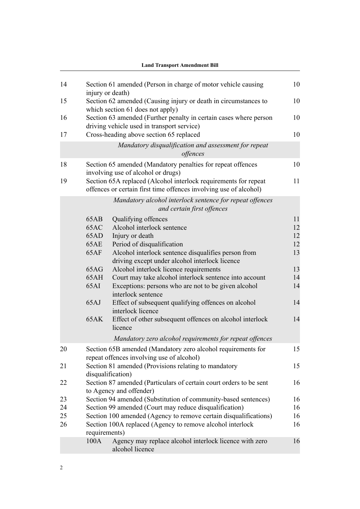|    | <b>Land Transport Amendment Bill</b>                                      |                                                                                                                                      |    |  |
|----|---------------------------------------------------------------------------|--------------------------------------------------------------------------------------------------------------------------------------|----|--|
| 14 |                                                                           | Section 61 amended (Person in charge of motor vehicle causing<br>injury or death)                                                    | 10 |  |
| 15 |                                                                           | Section 62 amended (Causing injury or death in circumstances to<br>which section 61 does not apply)                                  | 10 |  |
| 16 |                                                                           | Section 63 amended (Further penalty in certain cases where person<br>driving vehicle used in transport service)                      | 10 |  |
| 17 |                                                                           | Cross-heading above section 65 replaced                                                                                              | 10 |  |
|    |                                                                           | Mandatory disqualification and assessment for repeat<br>offences                                                                     |    |  |
| 18 |                                                                           | Section 65 amended (Mandatory penalties for repeat offences<br>involving use of alcohol or drugs)                                    | 10 |  |
| 19 |                                                                           | Section 65A replaced (Alcohol interlock requirements for repeat<br>offences or certain first time offences involving use of alcohol) | 11 |  |
|    |                                                                           | Mandatory alcohol interlock sentence for repeat offences<br>and certain first offences                                               |    |  |
|    | 65AB                                                                      | Qualifying offences                                                                                                                  | 11 |  |
|    | 65AC                                                                      | Alcohol interlock sentence                                                                                                           | 12 |  |
|    | 65AD                                                                      | Injury or death                                                                                                                      | 12 |  |
|    | 65AE                                                                      | Period of disqualification                                                                                                           | 12 |  |
|    | 65AF                                                                      | Alcohol interlock sentence disqualifies person from<br>driving except under alcohol interlock licence                                | 13 |  |
|    | 65AG                                                                      | Alcohol interlock licence requirements                                                                                               | 13 |  |
|    | 65AH                                                                      | Court may take alcohol interlock sentence into account                                                                               | 14 |  |
|    | 65AI                                                                      | Exceptions: persons who are not to be given alcohol<br>interlock sentence                                                            | 14 |  |
|    | 65AJ                                                                      | Effect of subsequent qualifying offences on alcohol<br>interlock licence                                                             | 14 |  |
|    | 65AK                                                                      | Effect of other subsequent offences on alcohol interlock<br>licence                                                                  | 14 |  |
|    |                                                                           | Mandatory zero alcohol requirements for repeat offences                                                                              |    |  |
| 20 |                                                                           | Section 65B amended (Mandatory zero alcohol requirements for<br>repeat offences involving use of alcohol)                            | 15 |  |
| 21 | Section 81 amended (Provisions relating to mandatory<br>disqualification) |                                                                                                                                      | 15 |  |
| 22 |                                                                           | Section 87 amended (Particulars of certain court orders to be sent<br>to Agency and offender)                                        | 16 |  |
| 23 |                                                                           | Section 94 amended (Substitution of community-based sentences)                                                                       |    |  |
| 24 |                                                                           | Section 99 amended (Court may reduce disqualification)                                                                               | 16 |  |
| 25 |                                                                           | Section 100 amended (Agency to remove certain disqualifications)                                                                     | 16 |  |
| 26 | requirements)                                                             | Section 100A replaced (Agency to remove alcohol interlock                                                                            | 16 |  |
|    | 100A                                                                      | Agency may replace alcohol interlock licence with zero<br>alcohol licence                                                            | 16 |  |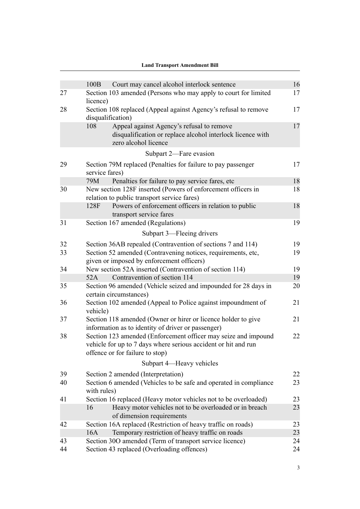|    | <b>Land Transport Amendment Bill</b>                                                                                                                                |    |
|----|---------------------------------------------------------------------------------------------------------------------------------------------------------------------|----|
|    |                                                                                                                                                                     |    |
|    | Court may cancel alcohol interlock sentence<br>100B                                                                                                                 | 16 |
| 27 | Section 103 amended (Persons who may apply to court for limited<br>licence)                                                                                         | 17 |
| 28 | Section 108 replaced (Appeal against Agency's refusal to remove<br>disqualification)                                                                                | 17 |
|    | 108<br>Appeal against Agency's refusal to remove<br>disqualification or replace alcohol interlock licence with<br>zero alcohol licence                              | 17 |
|    | Subpart 2-Fare evasion                                                                                                                                              |    |
| 29 | Section 79M replaced (Penalties for failure to pay passenger<br>service fares)                                                                                      | 17 |
|    | Penalties for failure to pay service fares, etc<br>79M                                                                                                              | 18 |
| 30 | New section 128F inserted (Powers of enforcement officers in<br>relation to public transport service fares)                                                         | 18 |
|    | Powers of enforcement officers in relation to public<br>128F<br>transport service fares                                                                             | 18 |
| 31 | Section 167 amended (Regulations)                                                                                                                                   | 19 |
|    | Subpart 3—Fleeing drivers                                                                                                                                           |    |
| 32 | Section 36AB repealed (Contravention of sections 7 and 114)                                                                                                         | 19 |
| 33 | Section 52 amended (Contravening notices, requirements, etc,<br>given or imposed by enforcement officers)                                                           | 19 |
| 34 | New section 52A inserted (Contravention of section 114)                                                                                                             | 19 |
|    | Contravention of section 114<br>52A                                                                                                                                 | 19 |
| 35 | Section 96 amended (Vehicle seized and impounded for 28 days in<br>certain circumstances)                                                                           | 20 |
| 36 | Section 102 amended (Appeal to Police against impoundment of<br>vehicle)                                                                                            | 21 |
| 37 | Section 118 amended (Owner or hirer or licence holder to give<br>information as to identity of driver or passenger)                                                 | 21 |
| 38 | Section 123 amended (Enforcement officer may seize and impound<br>vehicle for up to 7 days where serious accident or hit and run<br>offence or for failure to stop) | 22 |
|    | Subpart 4—Heavy vehicles                                                                                                                                            |    |
| 39 | Section 2 amended (Interpretation)                                                                                                                                  | 22 |
| 40 | Section 6 amended (Vehicles to be safe and operated in compliance<br>with rules)                                                                                    | 23 |
| 41 | Section 16 replaced (Heavy motor vehicles not to be overloaded)                                                                                                     | 23 |
|    | Heavy motor vehicles not to be overloaded or in breach<br>16<br>of dimension requirements                                                                           | 23 |
| 42 | Section 16A replaced (Restriction of heavy traffic on roads)                                                                                                        | 23 |
|    | Temporary restriction of heavy traffic on roads<br>16A                                                                                                              | 23 |
| 43 | Section 30O amended (Term of transport service licence)                                                                                                             | 24 |
| 44 | Section 43 replaced (Overloading offences)                                                                                                                          | 24 |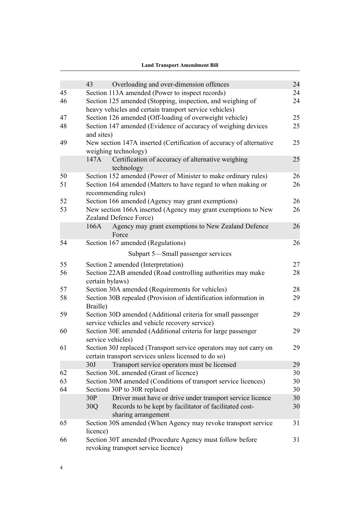| 24<br>24<br>24<br>25                                                                                                                                                                                                                                                        |
|-----------------------------------------------------------------------------------------------------------------------------------------------------------------------------------------------------------------------------------------------------------------------------|
|                                                                                                                                                                                                                                                                             |
|                                                                                                                                                                                                                                                                             |
|                                                                                                                                                                                                                                                                             |
|                                                                                                                                                                                                                                                                             |
|                                                                                                                                                                                                                                                                             |
| 25                                                                                                                                                                                                                                                                          |
| 25                                                                                                                                                                                                                                                                          |
| 25                                                                                                                                                                                                                                                                          |
| 26                                                                                                                                                                                                                                                                          |
| 26                                                                                                                                                                                                                                                                          |
| 26                                                                                                                                                                                                                                                                          |
| 26                                                                                                                                                                                                                                                                          |
| 26                                                                                                                                                                                                                                                                          |
| 26                                                                                                                                                                                                                                                                          |
|                                                                                                                                                                                                                                                                             |
| 27                                                                                                                                                                                                                                                                          |
| 28                                                                                                                                                                                                                                                                          |
| 28                                                                                                                                                                                                                                                                          |
| 29                                                                                                                                                                                                                                                                          |
| 29                                                                                                                                                                                                                                                                          |
| 29                                                                                                                                                                                                                                                                          |
| 29                                                                                                                                                                                                                                                                          |
| 29                                                                                                                                                                                                                                                                          |
| 30                                                                                                                                                                                                                                                                          |
| 30                                                                                                                                                                                                                                                                          |
| 30                                                                                                                                                                                                                                                                          |
| 30                                                                                                                                                                                                                                                                          |
| 30                                                                                                                                                                                                                                                                          |
| 31                                                                                                                                                                                                                                                                          |
| 31                                                                                                                                                                                                                                                                          |
| New section 147A inserted (Certification of accuracy of alternative<br>New section 166A inserted (Agency may grant exemptions to New<br>Section 30J replaced (Transport service operators may not carry on<br>Section 30S amended (When Agency may revoke transport service |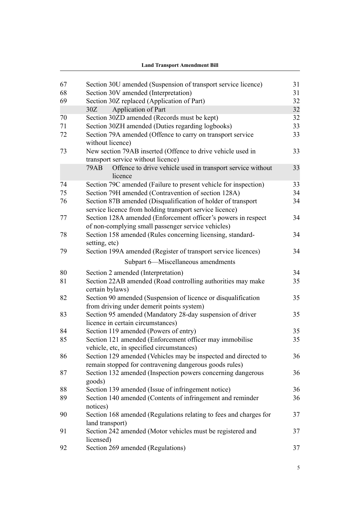|    | Land Transport Amendment Bill                                                                                           |    |
|----|-------------------------------------------------------------------------------------------------------------------------|----|
|    |                                                                                                                         |    |
| 67 | Section 30U amended (Suspension of transport service licence)                                                           | 31 |
| 68 | Section 30V amended (Interpretation)                                                                                    | 31 |
| 69 | Section 30Z replaced (Application of Part)                                                                              | 32 |
|    | Application of Part<br>30Z                                                                                              | 32 |
| 70 | Section 30ZD amended (Records must be kept)                                                                             | 32 |
| 71 | Section 30ZH amended (Duties regarding logbooks)                                                                        | 33 |
| 72 | Section 79A amended (Offence to carry on transport service<br>without licence)                                          | 33 |
| 73 | New section 79AB inserted (Offence to drive vehicle used in<br>transport service without licence)                       | 33 |
|    | <b>79AB</b><br>Offence to drive vehicle used in transport service without<br>licence                                    | 33 |
| 74 | Section 79C amended (Failure to present vehicle for inspection)                                                         | 33 |
| 75 | Section 79H amended (Contravention of section 128A)                                                                     | 34 |
| 76 | Section 87B amended (Disqualification of holder of transport<br>service licence from holding transport service licence) | 34 |
| 77 | Section 128A amended (Enforcement officer's powers in respect<br>of non-complying small passenger service vehicles)     | 34 |
| 78 | Section 158 amended (Rules concerning licensing, standard-<br>setting, etc)                                             | 34 |
| 79 | Section 199A amended (Register of transport service licences)                                                           | 34 |
|    | Subpart 6-Miscellaneous amendments                                                                                      |    |
| 80 | Section 2 amended (Interpretation)                                                                                      | 34 |
| 81 | Section 22AB amended (Road controlling authorities may make<br>certain bylaws)                                          | 35 |
| 82 | Section 90 amended (Suspension of licence or disqualification<br>from driving under demerit points system)              | 35 |
| 83 | Section 95 amended (Mandatory 28-day suspension of driver<br>licence in certain circumstances)                          | 35 |
| 84 | Section 119 amended (Powers of entry)                                                                                   | 35 |
| 85 | Section 121 amended (Enforcement officer may immobilise                                                                 | 35 |
|    | vehicle, etc, in specified circumstances)                                                                               |    |
| 86 | Section 129 amended (Vehicles may be inspected and directed to                                                          | 36 |
| 87 | remain stopped for contravening dangerous goods rules)<br>Section 132 amended (Inspection powers concerning dangerous   | 36 |
|    | goods)                                                                                                                  |    |
| 88 | Section 139 amended (Issue of infringement notice)                                                                      | 36 |
| 89 | Section 140 amended (Contents of infringement and reminder<br>notices)                                                  | 36 |
| 90 | Section 168 amended (Regulations relating to fees and charges for                                                       | 37 |
| 91 | land transport)<br>Section 242 amended (Motor vehicles must be registered and                                           | 37 |
| 92 | licensed)<br>Section 269 amended (Regulations)                                                                          | 37 |
|    |                                                                                                                         |    |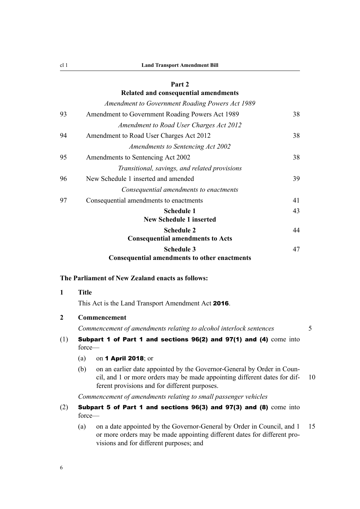#### **[Part 2](#page-61-0)**

## <span id="page-29-0"></span>**[Related and consequential amendments](#page-61-0)** *[Amendment to Government Roading Powers Act 1989](#page-61-0)* [93](#page-61-0) [Amendment to Government Roading Powers Act 1989](#page-61-0) [38](#page-61-0) *[Amendment to Road User Charges Act 2012](#page-61-0)* [94](#page-61-0) [Amendment to Road User Charges Act 2012](#page-61-0) [38](#page-61-0) *[Amendments to Sentencing Act 2002](#page-61-0)* [95](#page-61-0) [Amendments to Sentencing Act 2002](#page-61-0) [38](#page-61-0) *[Transitional, savings, and related provisions](#page-62-0)* [96](#page-62-0) [New Schedule 1 inserted and amended](#page-62-0) [39](#page-62-0) *[Consequential amendments to enactments](#page-64-0)* [97](#page-64-0) [Consequential amendments to enactments](#page-64-0) [41](#page-64-0) **[Schedule 1](#page-66-0) [New Schedule 1 inserted](#page-66-0)** [43](#page-66-0) **[Schedule 2](#page-67-0) [Consequential amendments to Acts](#page-67-0)** [44](#page-67-0) **[Schedule 3](#page-70-0) [Consequential amendments to other enactments](#page-70-0)** [47](#page-70-0)

#### **The Parliament of New Zealand enacts as follows:**

## **1 Title**

This Act is the Land Transport Amendment Act 2016.

#### **2 Commencement**

*Commencement of amendments relating to alcohol interlock sentences* 5

## (1) Subpart 1 of Part 1 and sections 96(2) and 97(1) and (4) come into force—

- (a) on 1 April 2018; or
- (b) on an earlier date appointed by the Governor-General by Order in Council, and 1 or more orders may be made appointing different dates for dif- 10 ferent provisions and for different purposes.

#### *Commencement of amendments relating to small passenger vehicles*

#### (2) Subpart 5 of Part 1 and sections 96(3) and 97(3) and (8) come into force—

(a) on a date appointed by the Governor-General by Order in Council, and 1 15 or more orders may be made appointing different dates for different provisions and for different purposes; and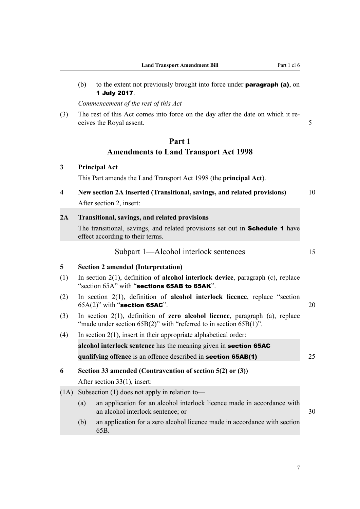<span id="page-30-0"></span>(b) to the extent not previously brought into force under **paragraph (a)**, on 1 July 2017.

*Commencement of the rest of this Act*

(3) The rest of this Act comes into force on the day after the date on which it receives the Royal assent. 5

## **Part 1 Amendments to Land Transport Act 1998**

## **3 Principal Act** This Part amends the Land Transport Act 1998 (the **principal Act**). **4 New section 2A inserted (Transitional, savings, and related provisions)** 10 After section 2, insert: **2A Transitional, savings, and related provisions** The transitional, savings, and related provisions set out in **Schedule 1** have effect according to their terms. Subpart 1—Alcohol interlock sentences 15 **5 Section 2 amended (Interpretation)** (1) In section 2(1), definition of **alcohol interlock device**, paragraph (c), replace "section 65A" with "sections 65AB to 65AK". (2) In section 2(1), definition of **alcohol interlock licence**, replace "section  $65A(2)$ " with "section 65AC".  $20$ (3) In section 2(1), definition of **zero alcohol licence**, paragraph (a), replace "made under section 65B(2)" with "referred to in section 65B(1)". (4) In section  $2(1)$ , insert in their appropriate alphabetical order: **alcohol interlock sentence** has the meaning given in section 65AC **qualifying offence** is an offence described in **section 65AB(1)** 25 **6 Section 33 amended (Contravention of section 5(2) or (3))** After section 33(1), insert: (1A) Subsection (1) does not apply in relation to— (a) an application for an alcohol interlock licence made in accordance with an alcohol interlock sentence; or 30 (b) an application for a zero alcohol licence made in accordance with section 65B.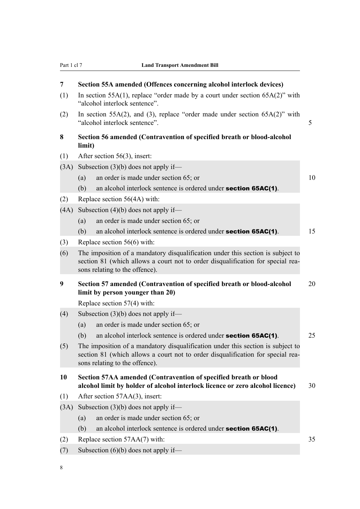<span id="page-31-0"></span>

| 7                                                                                                               | Section 55A amended (Offences concerning alcohol interlock devices)<br>In section 55A(1), replace "order made by a court under section $65A(2)$ " with                                               |    |  |
|-----------------------------------------------------------------------------------------------------------------|------------------------------------------------------------------------------------------------------------------------------------------------------------------------------------------------------|----|--|
| (1)                                                                                                             | "alcohol interlock sentence".                                                                                                                                                                        |    |  |
| (2)                                                                                                             | In section 55A(2), and (3), replace "order made under section $65A(2)$ " with<br>"alcohol interlock sentence".<br>5                                                                                  |    |  |
| 8                                                                                                               | Section 56 amended (Contravention of specified breath or blood-alcohol<br>limit)                                                                                                                     |    |  |
| (1)                                                                                                             | After section 56(3), insert:                                                                                                                                                                         |    |  |
| (3A)                                                                                                            | Subsection $(3)(b)$ does not apply if—                                                                                                                                                               |    |  |
|                                                                                                                 | an order is made under section 65; or<br>(a)                                                                                                                                                         | 10 |  |
|                                                                                                                 | an alcohol interlock sentence is ordered under <b>section 65AC(1)</b> .<br>(b)                                                                                                                       |    |  |
| (2)                                                                                                             | Replace section 56(4A) with:                                                                                                                                                                         |    |  |
| (4A)                                                                                                            | Subsection $(4)(b)$ does not apply if—                                                                                                                                                               |    |  |
|                                                                                                                 | an order is made under section 65; or<br>(a)                                                                                                                                                         |    |  |
|                                                                                                                 | (b)<br>an alcohol interlock sentence is ordered under <b>section 65AC(1)</b> .                                                                                                                       | 15 |  |
| (3)                                                                                                             | Replace section $56(6)$ with:                                                                                                                                                                        |    |  |
| (6)                                                                                                             | The imposition of a mandatory disqualification under this section is subject to<br>section 81 (which allows a court not to order disqualification for special rea-<br>sons relating to the offence). |    |  |
| 9<br>Section 57 amended (Contravention of specified breath or blood-alcohol<br>limit by person younger than 20) |                                                                                                                                                                                                      |    |  |
|                                                                                                                 | Replace section $57(4)$ with:                                                                                                                                                                        |    |  |
| (4)                                                                                                             | Subsection $(3)(b)$ does not apply if—                                                                                                                                                               |    |  |
|                                                                                                                 | an order is made under section 65; or<br>(a)                                                                                                                                                         |    |  |
|                                                                                                                 | an alcohol interlock sentence is ordered under <b>section 65AC(1)</b> .<br>(b)                                                                                                                       | 25 |  |
| (5)                                                                                                             | The imposition of a mandatory disqualification under this section is subject to<br>section 81 (which allows a court not to order disqualification for special rea-<br>sons relating to the offence). |    |  |
| 10                                                                                                              | Section 57AA amended (Contravention of specified breath or blood<br>alcohol limit by holder of alcohol interlock licence or zero alcohol licence)                                                    | 30 |  |
| (1)                                                                                                             | After section 57AA(3), insert:                                                                                                                                                                       |    |  |
| (3A)                                                                                                            | Subsection $(3)(b)$ does not apply if—                                                                                                                                                               |    |  |
|                                                                                                                 | an order is made under section 65; or<br>(a)                                                                                                                                                         |    |  |
|                                                                                                                 | (b)<br>an alcohol interlock sentence is ordered under <b>section 65AC(1)</b> .                                                                                                                       |    |  |
| (2)                                                                                                             | Replace section $57AA(7)$ with:<br>35                                                                                                                                                                |    |  |
| (7)                                                                                                             | Subsection $(6)(b)$ does not apply if—                                                                                                                                                               |    |  |
|                                                                                                                 |                                                                                                                                                                                                      |    |  |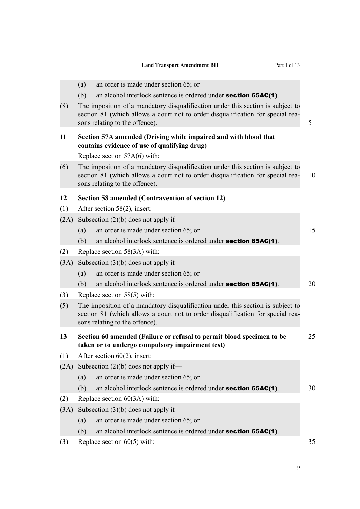<span id="page-32-0"></span>

|      | an order is made under section 65; or<br>(a)                                                                                                                                                         |    |  |
|------|------------------------------------------------------------------------------------------------------------------------------------------------------------------------------------------------------|----|--|
|      | (b)<br>an alcohol interlock sentence is ordered under <b>section 65AC(1)</b> .                                                                                                                       |    |  |
| (8)  | The imposition of a mandatory disqualification under this section is subject to<br>section 81 (which allows a court not to order disqualification for special rea-<br>sons relating to the offence). | 5  |  |
| 11   | Section 57A amended (Driving while impaired and with blood that<br>contains evidence of use of qualifying drug)                                                                                      |    |  |
|      | Replace section 57A(6) with:                                                                                                                                                                         |    |  |
| (6)  | The imposition of a mandatory disqualification under this section is subject to<br>section 81 (which allows a court not to order disqualification for special rea-<br>sons relating to the offence). | 10 |  |
| 12   | Section 58 amended (Contravention of section 12)                                                                                                                                                     |    |  |
| (1)  | After section 58(2), insert:                                                                                                                                                                         |    |  |
| (2A) | Subsection $(2)(b)$ does not apply if—                                                                                                                                                               |    |  |
|      | an order is made under section 65; or<br>(a)                                                                                                                                                         | 15 |  |
|      | an alcohol interlock sentence is ordered under <b>section 65AC(1)</b> .<br>(b)                                                                                                                       |    |  |
| (2)  | Replace section 58(3A) with:                                                                                                                                                                         |    |  |
| (3A) | Subsection $(3)(b)$ does not apply if—                                                                                                                                                               |    |  |
|      | an order is made under section 65; or<br>(a)                                                                                                                                                         |    |  |
|      | (b)<br>an alcohol interlock sentence is ordered under <b>section 65AC(1)</b> .                                                                                                                       | 20 |  |
| (3)  | Replace section $58(5)$ with:                                                                                                                                                                        |    |  |
| (5)  | The imposition of a mandatory disqualification under this section is subject to<br>section 81 (which allows a court not to order disqualification for special rea-<br>sons relating to the offence). |    |  |
| 13   | Section 60 amended (Failure or refusal to permit blood specimen to be<br>taken or to undergo compulsory impairment test)                                                                             | 25 |  |
| (1)  | After section $60(2)$ , insert:                                                                                                                                                                      |    |  |
| (2A) | Subsection $(2)(b)$ does not apply if—                                                                                                                                                               |    |  |
|      | an order is made under section 65; or<br>(a)                                                                                                                                                         |    |  |
|      | an alcohol interlock sentence is ordered under <b>section 65AC(1)</b> .<br>(b)                                                                                                                       | 30 |  |
| (2)  | Replace section $60(3A)$ with:                                                                                                                                                                       |    |  |
| (3A) | Subsection $(3)(b)$ does not apply if—                                                                                                                                                               |    |  |
|      | an order is made under section 65; or<br>(a)                                                                                                                                                         |    |  |
|      | an alcohol interlock sentence is ordered under <b>section 65AC(1)</b> .<br>(b)                                                                                                                       |    |  |
| (3)  | Replace section $60(5)$ with:                                                                                                                                                                        | 35 |  |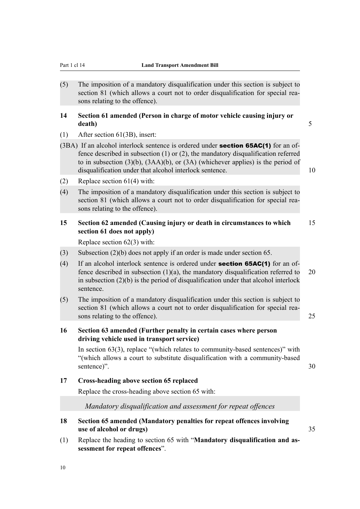<span id="page-33-0"></span>(5) The imposition of a mandatory disqualification under this section is subject to section 81 (which allows a court not to order disqualification for special reasons relating to the offence).

#### **14 Section 61 amended (Person in charge of motor vehicle causing injury or death)** 5

- (1) After section 61(3B), insert:
- $(3BA)$  If an alcohol interlock sentence is ordered under **section 65AC(1)** for an offence described in subsection (1) or (2), the mandatory disqualification referred to in subsection (3)(b), (3AA)(b), or (3A) (whichever applies) is the period of disqualification under that alcohol interlock sentence. 10
- (2) Replace section 61(4) with:
- (4) The imposition of a mandatory disqualification under this section is subject to section 81 (which allows a court not to order disqualification for special reasons relating to the offence).

#### **15 Section 62 amended (Causing injury or death in circumstances to which** 15 **section 61 does not apply)**

Replace section 62(3) with:

- (3) Subsection (2)(b) does not apply if an order is made under section 65.
- (4) If an alcohol interlock sentence is ordered under **section 65AC(1)** for an offence described in subsection  $(1)(a)$ , the mandatory disqualification referred to 20 in subsection (2)(b) is the period of disqualification under that alcohol interlock sentence.
- (5) The imposition of a mandatory disqualification under this section is subject to section 81 (which allows a court not to order disqualification for special reasons relating to the offence). 25

### **16 Section 63 amended (Further penalty in certain cases where person driving vehicle used in transport service)**

In section 63(3), replace "(which relates to community-based sentences)" with "(which allows a court to substitute disqualification with a community-based sentence)". 30

#### **17 Cross-heading above section 65 replaced**

Replace the cross-heading above section 65 with:

*Mandatory disqualification and assessment for repeat offences*

- **18 Section 65 amended (Mandatory penalties for repeat offences involving use of alcohol or drugs)** 35
- (1) Replace the heading to section 65 with "**Mandatory disqualification and assessment for repeat offences**".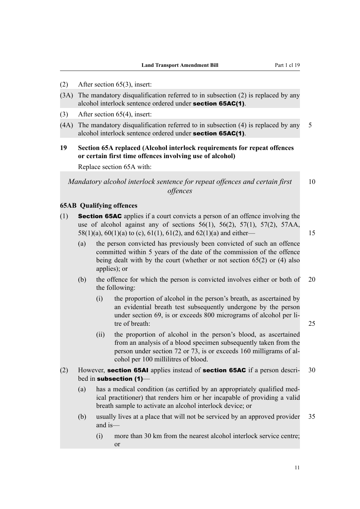- <span id="page-34-0"></span>(2) After section 65(3), insert:
- (3A) The mandatory disqualification referred to in subsection (2) is replaced by any alcohol interlock sentence ordered under section 65AC(1).
- (3) After section 65(4), insert:
- (4A) The mandatory disqualification referred to in subsection (4) is replaced by any 5 alcohol interlock sentence ordered under section 65AC(1).
- **19 Section 65A replaced (Alcohol interlock requirements for repeat offences or certain first time offences involving use of alcohol)**

Replace section 65A with:

*Mandatory alcohol interlock sentence for repeat offences and certain first* 10 *offences*

#### **65AB Qualifying offences**

- (1) **Section 65AC** applies if a court convicts a person of an offence involving the use of alcohol against any of sections  $56(1)$ ,  $56(2)$ ,  $57(1)$ ,  $57(2)$ ,  $57AA$ , 58(1)(a), 60(1)(a) to (c), 61(1), 61(2), and 62(1)(a) and either— 15
	- (a) the person convicted has previously been convicted of such an offence committed within 5 years of the date of the commission of the offence being dealt with by the court (whether or not section 65(2) or (4) also applies); or
	- (b) the offence for which the person is convicted involves either or both of 20 the following:
		- (i) the proportion of alcohol in the person's breath, as ascertained by an evidential breath test subsequently undergone by the person under section 69, is or exceeds 800 micrograms of alcohol per litre of breath: 25
		- (ii) the proportion of alcohol in the person's blood, as ascertained from an analysis of a blood specimen subsequently taken from the person under section 72 or 73, is or exceeds 160 milligrams of alcohol per 100 millilitres of blood.
- (2) However, **section 65AI** applies instead of **section 65AC** if a person descri- 30 bed in subsection (1)-
	- (a) has a medical condition (as certified by an appropriately qualified medical practitioner) that renders him or her incapable of providing a valid breath sample to activate an alcohol interlock device; or
	- (b) usually lives at a place that will not be serviced by an approved provider 35 and is—
		- (i) more than 30 km from the nearest alcohol interlock service centre; or

11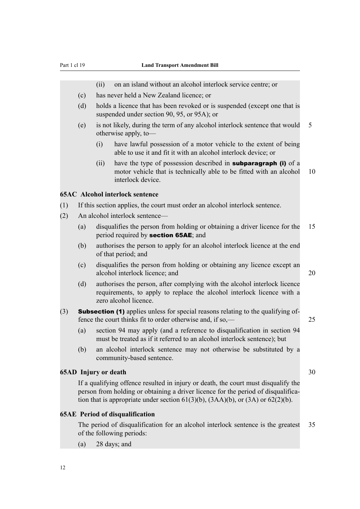<span id="page-35-0"></span>

|     |                                                                                                                                                             | (ii)                                                                                                                     | on an island without an alcohol interlock service centre; or                                                                                                                                                                                                          |    |  |  |
|-----|-------------------------------------------------------------------------------------------------------------------------------------------------------------|--------------------------------------------------------------------------------------------------------------------------|-----------------------------------------------------------------------------------------------------------------------------------------------------------------------------------------------------------------------------------------------------------------------|----|--|--|
|     | (c)                                                                                                                                                         | has never held a New Zealand licence; or                                                                                 |                                                                                                                                                                                                                                                                       |    |  |  |
|     | (d)                                                                                                                                                         | holds a licence that has been revoked or is suspended (except one that is<br>suspended under section 90, 95, or 95A); or |                                                                                                                                                                                                                                                                       |    |  |  |
|     | (e)                                                                                                                                                         |                                                                                                                          | is not likely, during the term of any alcohol interlock sentence that would<br>otherwise apply, to-                                                                                                                                                                   | 5  |  |  |
|     |                                                                                                                                                             | (i)                                                                                                                      | have lawful possession of a motor vehicle to the extent of being<br>able to use it and fit it with an alcohol interlock device; or                                                                                                                                    |    |  |  |
|     |                                                                                                                                                             | (ii)                                                                                                                     | have the type of possession described in <b>subparagraph (i)</b> of a<br>motor vehicle that is technically able to be fitted with an alcohol<br>interlock device.                                                                                                     | 10 |  |  |
|     |                                                                                                                                                             |                                                                                                                          | <b>65AC</b> Alcohol interlock sentence                                                                                                                                                                                                                                |    |  |  |
| (1) |                                                                                                                                                             |                                                                                                                          | If this section applies, the court must order an alcohol interlock sentence.                                                                                                                                                                                          |    |  |  |
| (2) |                                                                                                                                                             | An alcohol interlock sentence-                                                                                           |                                                                                                                                                                                                                                                                       |    |  |  |
|     | (a)                                                                                                                                                         |                                                                                                                          | disqualifies the person from holding or obtaining a driver licence for the<br>period required by <b>section 65AE</b> ; and                                                                                                                                            | 15 |  |  |
|     | (b)                                                                                                                                                         |                                                                                                                          | authorises the person to apply for an alcohol interlock licence at the end<br>of that period; and                                                                                                                                                                     |    |  |  |
|     | (c)                                                                                                                                                         |                                                                                                                          | disqualifies the person from holding or obtaining any licence except an<br>alcohol interlock licence; and                                                                                                                                                             | 20 |  |  |
|     | (d)                                                                                                                                                         |                                                                                                                          | authorises the person, after complying with the alcohol interlock licence<br>requirements, to apply to replace the alcohol interlock licence with a<br>zero alcohol licence.                                                                                          |    |  |  |
| (3) | <b>Subsection (1)</b> applies unless for special reasons relating to the qualifying of-<br>fence the court thinks fit to order otherwise and, if so,—<br>25 |                                                                                                                          |                                                                                                                                                                                                                                                                       |    |  |  |
|     | (a)                                                                                                                                                         |                                                                                                                          | section 94 may apply (and a reference to disqualification in section 94<br>must be treated as if it referred to an alcohol interlock sentence); but                                                                                                                   |    |  |  |
|     | (b)                                                                                                                                                         |                                                                                                                          | an alcohol interlock sentence may not otherwise be substituted by a<br>community-based sentence.                                                                                                                                                                      |    |  |  |
|     | <b>65AD</b> Injury or death                                                                                                                                 |                                                                                                                          |                                                                                                                                                                                                                                                                       | 30 |  |  |
|     |                                                                                                                                                             |                                                                                                                          | If a qualifying offence resulted in injury or death, the court must disqualify the<br>person from holding or obtaining a driver licence for the period of disqualifica-<br>tion that is appropriate under section $61(3)(b)$ , $(3AA)(b)$ , or $(3A)$ or $62(2)(b)$ . |    |  |  |
|     |                                                                                                                                                             |                                                                                                                          | <b>65AE</b> Period of disqualification                                                                                                                                                                                                                                |    |  |  |
|     |                                                                                                                                                             |                                                                                                                          | The period of disqualification for an alcohol interlock sentence is the greatest                                                                                                                                                                                      | 35 |  |  |

# of the following periods:

(a) 28 days; and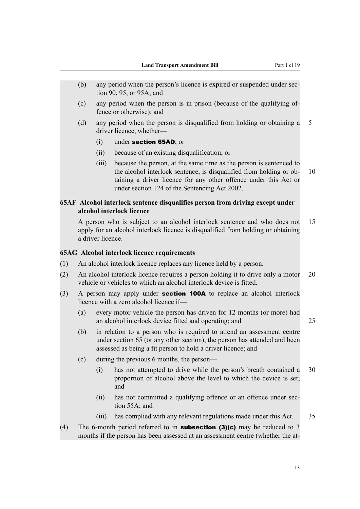- (b) any period when the person's licence is expired or suspended under section 90, 95, or 95A; and
- (c) any period when the person is in prison (because of the qualifying offence or otherwise); and
- (d) any period when the person is disqualified from holding or obtaining a 5 driver licence, whether—
	- (i) under section 65AD; or
	- (ii) because of an existing disqualification; or
	- (iii) because the person, at the same time as the person is sentenced to the alcohol interlock sentence, is disqualified from holding or ob- 10 taining a driver licence for any other offence under this Act or under section 124 of the Sentencing Act 2002.

# **65AF Alcohol interlock sentence disqualifies person from driving except under alcohol interlock licence**

A person who is subject to an alcohol interlock sentence and who does not 15 apply for an alcohol interlock licence is disqualified from holding or obtaining a driver licence.

#### **65AG Alcohol interlock licence requirements**

- (1) An alcohol interlock licence replaces any licence held by a person.
- (2) An alcohol interlock licence requires a person holding it to drive only a motor 20 vehicle or vehicles to which an alcohol interlock device is fitted.
- (3) A person may apply under section 100A to replace an alcohol interlock licence with a zero alcohol licence if—
	- (a) every motor vehicle the person has driven for 12 months (or more) had an alcohol interlock device fitted and operating; and 25
		-
	- (b) in relation to a person who is required to attend an assessment centre under section 65 (or any other section), the person has attended and been assessed as being a fit person to hold a driver licence; and
	- (c) during the previous 6 months, the person—
		- (i) has not attempted to drive while the person's breath contained a 30 proportion of alcohol above the level to which the device is set; and
		- (ii) has not committed a qualifying offence or an offence under section 55A; and
		- (iii) has complied with any relevant regulations made under this Act. 35
- (4) The 6-month period referred to in **subsection (3)(c)** may be reduced to 3 months if the person has been assessed at an assessment centre (whether the at-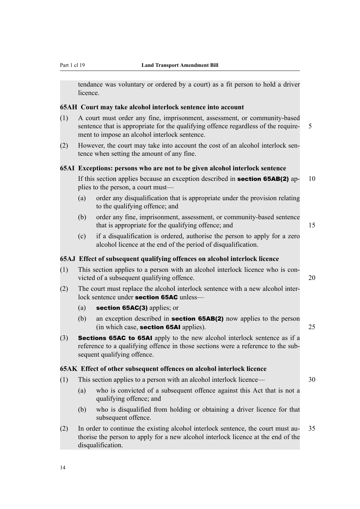tendance was voluntary or ordered by a court) as a fit person to hold a driver licence.

#### **65AH Court may take alcohol interlock sentence into account**

- (1) A court must order any fine, imprisonment, assessment, or community-based sentence that is appropriate for the qualifying offence regardless of the require- 5 ment to impose an alcohol interlock sentence.
- (2) However, the court may take into account the cost of an alcohol interlock sentence when setting the amount of any fine.

#### **65AI Exceptions: persons who are not to be given alcohol interlock sentence**

If this section applies because an exception described in **section 65AB(2)** ap-  $10$ plies to the person, a court must—

- (a) order any disqualification that is appropriate under the provision relating to the qualifying offence; and
- (b) order any fine, imprisonment, assessment, or community-based sentence that is appropriate for the qualifying offence; and 15
- (c) if a disqualification is ordered, authorise the person to apply for a zero alcohol licence at the end of the period of disqualification.

#### **65AJ Effect of subsequent qualifying offences on alcohol interlock licence**

- (1) This section applies to a person with an alcohol interlock licence who is convicted of a subsequent qualifying offence. 20
- (2) The court must replace the alcohol interlock sentence with a new alcohol interlock sentence under **section 65AC** unless—
	- (a) section 65AC(3) applies; or
	- (b) an exception described in section 65AB(2) now applies to the person (in which case, section 65AI applies). 25
- (3) Sections 65AC to 65AI apply to the new alcohol interlock sentence as if a reference to a qualifying offence in those sections were a reference to the subsequent qualifying offence.

#### **65AK Effect of other subsequent offences on alcohol interlock licence**

- (1) This section applies to a person with an alcohol interlock licence— 30
	- (a) who is convicted of a subsequent offence against this Act that is not a qualifying offence; and
	- (b) who is disqualified from holding or obtaining a driver licence for that subsequent offence.
- (2) In order to continue the existing alcohol interlock sentence, the court must au- 35 thorise the person to apply for a new alcohol interlock licence at the end of the disqualification.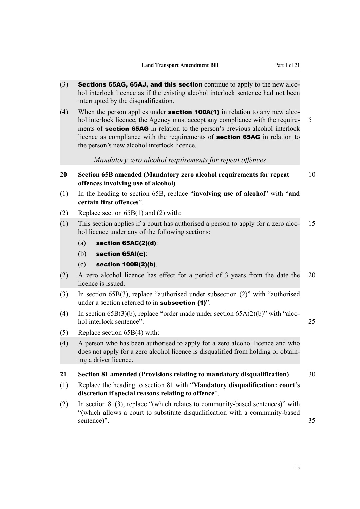- $(3)$  Sections 65AG, 65AJ, and this section continue to apply to the new alcohol interlock licence as if the existing alcohol interlock sentence had not been interrupted by the disqualification.
- (4) When the person applies under **section 100A(1)** in relation to any new alcohol interlock licence, the Agency must accept any compliance with the require- 5 ments of **section 65AG** in relation to the person's previous alcohol interlock licence as compliance with the requirements of section 65AG in relation to the person's new alcohol interlock licence.

*Mandatory zero alcohol requirements for repeat offences*

- **20 Section 65B amended (Mandatory zero alcohol requirements for repeat** 10 **offences involving use of alcohol)**
- (1) In the heading to section 65B, replace "**involving use of alcohol**" with "**and certain first offences**".
- (2) Replace section 65B(1) and (2) with:
- (1) This section applies if a court has authorised a person to apply for a zero alco- 15 hol licence under any of the following sections:
	- (a) section  $65AC(2)(d)$ :
	- (b) section 65AI(c):
	- (c) section 100B(2)(b).
- (2) A zero alcohol licence has effect for a period of 3 years from the date the 20 licence is issued.
- (3) In section 65B(3), replace "authorised under subsection (2)" with "authorised under a section referred to in **subsection** (1)".
- (4) In section 65B(3)(b), replace "order made under section 65A(2)(b)" with "alcohol interlock sentence". 25
- (5) Replace section 65B(4) with:
- (4) A person who has been authorised to apply for a zero alcohol licence and who does not apply for a zero alcohol licence is disqualified from holding or obtaining a driver licence.

#### **21 Section 81 amended (Provisions relating to mandatory disqualification)** 30

- (1) Replace the heading to section 81 with "**Mandatory disqualification: court's discretion if special reasons relating to offence**".
- (2) In section 81(3), replace "(which relates to community-based sentences)" with "(which allows a court to substitute disqualification with a community-based sentence)" 35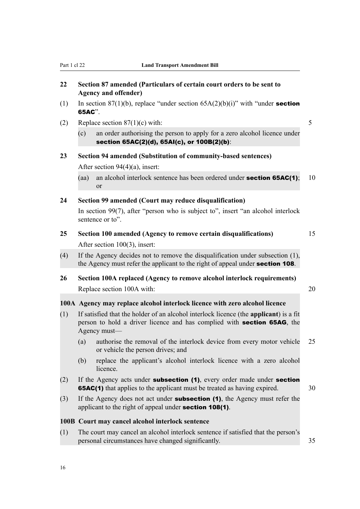# **22 Section 87 amended (Particulars of certain court orders to be sent to Agency and offender)**

- (1) In section 87(1)(b), replace "under section  $65A(2)(b)(i)$ " with "under **section** 65AC".
- (2) Replace section  $87(1)(c)$  with: 5
	- (c) an order authorising the person to apply for a zero alcohol licence under section 65AC(2)(d), 65AI(c), or 100B(2)(b):

# **23 Section 94 amended (Substitution of community-based sentences)** After section 94(4)(a), insert:

(aa) an alcohol interlock sentence has been ordered under **section 65AC(1)**; 10 or

#### **24 Section 99 amended (Court may reduce disqualification)**

In section 99(7), after "person who is subject to", insert "an alcohol interlock sentence or to".

- **25 Section 100 amended (Agency to remove certain disqualifications)** 15 After section 100(3), insert:
- (4) If the Agency decides not to remove the disqualification under subsection (1), the Agency must refer the applicant to the right of appeal under **section 108**.
- **26 Section 100A replaced (Agency to remove alcohol interlock requirements)** Replace section 100A with: 20

#### **100A Agency may replace alcohol interlock licence with zero alcohol licence**

- (1) If satisfied that the holder of an alcohol interlock licence (the **applicant**) is a fit person to hold a driver licence and has complied with section 65AG, the Agency must—
	- (a) authorise the removal of the interlock device from every motor vehicle 25 or vehicle the person drives; and
	- (b) replace the applicant's alcohol interlock licence with a zero alcohol licence.
- (2) If the Agency acts under **subsection (1)**, every order made under **section 65AC(1)** that applies to the applicant must be treated as having expired. 30
- (3) If the Agency does not act under subsection (1), the Agency must refer the applicant to the right of appeal under **section 108(1)**.

#### **100B Court may cancel alcohol interlock sentence**

(1) The court may cancel an alcohol interlock sentence if satisfied that the person's personal circumstances have changed significantly. 35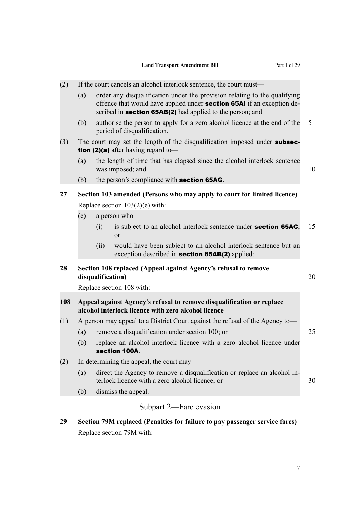| (2) | If the court cancels an alcohol interlock sentence, the court must—                                                      |                                                                               |                                                                                                                                                                                                                         |    |  |  |
|-----|--------------------------------------------------------------------------------------------------------------------------|-------------------------------------------------------------------------------|-------------------------------------------------------------------------------------------------------------------------------------------------------------------------------------------------------------------------|----|--|--|
|     | (a)                                                                                                                      |                                                                               | order any disqualification under the provision relating to the qualifying<br>offence that would have applied under <b>section 65AI</b> if an exception de-<br>scribed in section 65AB(2) had applied to the person; and |    |  |  |
|     | (b)                                                                                                                      |                                                                               | authorise the person to apply for a zero alcohol licence at the end of the<br>period of disqualification.                                                                                                               | 5  |  |  |
| (3) | The court may set the length of the disqualification imposed under subsec-<br><b>tion (2)(a)</b> after having regard to- |                                                                               |                                                                                                                                                                                                                         |    |  |  |
|     | (a)                                                                                                                      |                                                                               | the length of time that has elapsed since the alcohol interlock sentence<br>was imposed; and                                                                                                                            | 10 |  |  |
|     | (b)                                                                                                                      |                                                                               | the person's compliance with <b>section 65AG</b> .                                                                                                                                                                      |    |  |  |
| 27  | Section 103 amended (Persons who may apply to court for limited licence)                                                 |                                                                               |                                                                                                                                                                                                                         |    |  |  |
|     |                                                                                                                          |                                                                               | Replace section $103(2)(e)$ with:                                                                                                                                                                                       |    |  |  |
|     | (e)                                                                                                                      |                                                                               | a person who-                                                                                                                                                                                                           |    |  |  |
|     |                                                                                                                          | (i)                                                                           | is subject to an alcohol interlock sentence under <b>section 65AC</b> ;<br>or                                                                                                                                           | 15 |  |  |
|     |                                                                                                                          | (ii)                                                                          | would have been subject to an alcohol interlock sentence but an<br>exception described in <b>section 65AB(2)</b> applied:                                                                                               |    |  |  |
| 28  |                                                                                                                          | disqualification)                                                             | Section 108 replaced (Appeal against Agency's refusal to remove                                                                                                                                                         | 20 |  |  |
|     | Replace section 108 with:                                                                                                |                                                                               |                                                                                                                                                                                                                         |    |  |  |
| 108 |                                                                                                                          |                                                                               | Appeal against Agency's refusal to remove disqualification or replace<br>alcohol interlock licence with zero alcohol licence                                                                                            |    |  |  |
| (1) |                                                                                                                          | A person may appeal to a District Court against the refusal of the Agency to- |                                                                                                                                                                                                                         |    |  |  |
|     | (a)                                                                                                                      |                                                                               | remove a disqualification under section 100; or                                                                                                                                                                         | 25 |  |  |
|     | (b)                                                                                                                      |                                                                               | replace an alcohol interlock licence with a zero alcohol licence under<br>section 100A.                                                                                                                                 |    |  |  |
| (2) |                                                                                                                          | In determining the appeal, the court may—                                     |                                                                                                                                                                                                                         |    |  |  |
|     | (a)                                                                                                                      |                                                                               | direct the Agency to remove a disqualification or replace an alcohol in-<br>terlock licence with a zero alcohol licence; or                                                                                             | 30 |  |  |
|     | (b)                                                                                                                      |                                                                               | dismiss the appeal.                                                                                                                                                                                                     |    |  |  |
|     |                                                                                                                          |                                                                               | Subpart 2—Fare evasion                                                                                                                                                                                                  |    |  |  |

**29 Section 79M replaced (Penalties for failure to pay passenger service fares)** Replace section 79M with: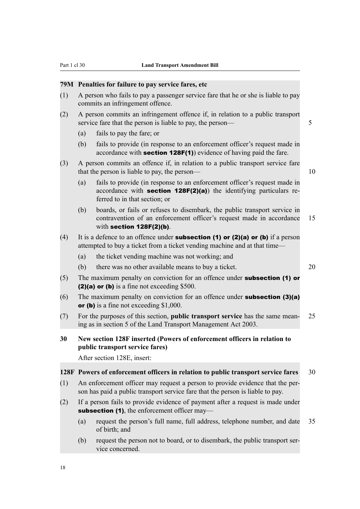#### **79M Penalties for failure to pay service fares, etc**

- (1) A person who fails to pay a passenger service fare that he or she is liable to pay commits an infringement offence.
- (2) A person commits an infringement offence if, in relation to a public transport service fare that the person is liable to pay, the person— 5
	- (a) fails to pay the fare; or
	- (b) fails to provide (in response to an enforcement officer's request made in accordance with section 128F(1)) evidence of having paid the fare.
- (3) A person commits an offence if, in relation to a public transport service fare that the person is liable to pay, the person— 10
	- (a) fails to provide (in response to an enforcement officer's request made in accordance with **section 128F(2)(a)**) the identifying particulars referred to in that section; or
	- (b) boards, or fails or refuses to disembark, the public transport service in contravention of an enforcement officer's request made in accordance 15 with section 128F(2)(b).
- (4) It is a defence to an offence under **subsection (1) or (2)(a) or (b)** if a person attempted to buy a ticket from a ticket vending machine and at that time—
	- (a) the ticket vending machine was not working; and
	- (b) there was no other available means to buy a ticket. 20
- (5) The maximum penalty on conviction for an offence under **subsection (1) or** (2)(a) or (b) is a fine not exceeding \$500.
- (6) The maximum penalty on conviction for an offence under **subsection (3)(a)** or (b) is a fine not exceeding \$1,000.
- (7) For the purposes of this section, **public transport service** has the same mean- 25 ing as in section 5 of the Land Transport Management Act 2003.
- **30 New section 128F inserted (Powers of enforcement officers in relation to public transport service fares)**

After section 128E, insert:

#### **128F Powers of enforcement officers in relation to public transport service fares** 30

- (1) An enforcement officer may request a person to provide evidence that the person has paid a public transport service fare that the person is liable to pay.
- (2) If a person fails to provide evidence of payment after a request is made under subsection (1), the enforcement officer may—
	- (a) request the person's full name, full address, telephone number, and date 35 of birth; and
	- (b) request the person not to board, or to disembark, the public transport service concerned.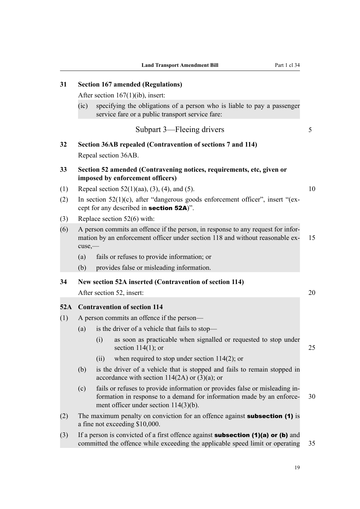**31 Section 167 amended (Regulations)**

|     |                                                                                                                                       | After section $167(1)(ib)$ , insert:                                                                                                                                                             |    |  |  |
|-----|---------------------------------------------------------------------------------------------------------------------------------------|--------------------------------------------------------------------------------------------------------------------------------------------------------------------------------------------------|----|--|--|
|     | (ic)                                                                                                                                  | specifying the obligations of a person who is liable to pay a passenger<br>service fare or a public transport service fare:                                                                      |    |  |  |
|     |                                                                                                                                       | Subpart 3—Fleeing drivers                                                                                                                                                                        | 5  |  |  |
| 32  | Section 36AB repealed (Contravention of sections 7 and 114)                                                                           |                                                                                                                                                                                                  |    |  |  |
|     |                                                                                                                                       | Repeal section 36AB.                                                                                                                                                                             |    |  |  |
| 33  | Section 52 amended (Contravening notices, requirements, etc, given or<br>imposed by enforcement officers)                             |                                                                                                                                                                                                  |    |  |  |
| (1) |                                                                                                                                       | Repeal section $52(1)(aa)$ , $(3)$ , $(4)$ , and $(5)$ .                                                                                                                                         | 10 |  |  |
| (2) | In section $52(1)(c)$ , after "dangerous goods enforcement officer", insert "(ex-<br>cept for any described in <b>section 52A</b> )". |                                                                                                                                                                                                  |    |  |  |
| (3) |                                                                                                                                       | Replace section $52(6)$ with:                                                                                                                                                                    |    |  |  |
| (6) | $cuse, -$                                                                                                                             | A person commits an offence if the person, in response to any request for infor-<br>mation by an enforcement officer under section 118 and without reasonable ex-                                | 15 |  |  |
|     | (a)                                                                                                                                   | fails or refuses to provide information; or                                                                                                                                                      |    |  |  |
|     | (b)                                                                                                                                   | provides false or misleading information.                                                                                                                                                        |    |  |  |
| 34  | New section 52A inserted (Contravention of section 114)                                                                               |                                                                                                                                                                                                  |    |  |  |
|     |                                                                                                                                       | After section 52, insert:                                                                                                                                                                        | 20 |  |  |
|     | 52A Contravention of section 114                                                                                                      |                                                                                                                                                                                                  |    |  |  |
| (1) | A person commits an offence if the person—                                                                                            |                                                                                                                                                                                                  |    |  |  |
|     | (a)                                                                                                                                   | is the driver of a vehicle that fails to stop—                                                                                                                                                   |    |  |  |
|     |                                                                                                                                       | as soon as practicable when signalled or requested to stop under<br>(i)<br>section $114(1)$ ; or                                                                                                 | 25 |  |  |
|     |                                                                                                                                       | when required to stop under section $114(2)$ ; or<br>(11)                                                                                                                                        |    |  |  |
|     | (b)                                                                                                                                   | is the driver of a vehicle that is stopped and fails to remain stopped in<br>accordance with section $114(2A)$ or $(3)(a)$ ; or                                                                  |    |  |  |
|     | (c)                                                                                                                                   | fails or refuses to provide information or provides false or misleading in-<br>formation in response to a demand for information made by an enforce-<br>ment officer under section $114(3)(b)$ . | 30 |  |  |
| (2) | The maximum penalty on conviction for an offence against <b>subsection (1)</b> is<br>a fine not exceeding \$10,000.                   |                                                                                                                                                                                                  |    |  |  |
| (3) |                                                                                                                                       | If a person is convicted of a first offence against <b>subsection (1)(a) or (b)</b> and<br>committed the offence while exceeding the applicable speed limit or operating                         | 35 |  |  |

19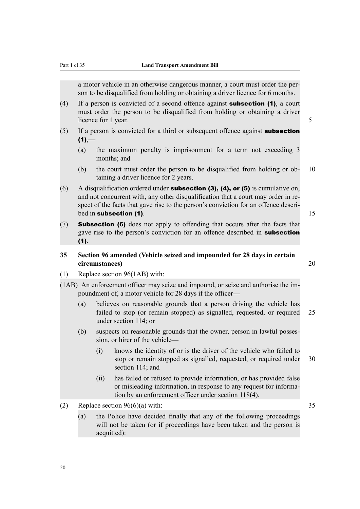a motor vehicle in an otherwise dangerous manner, a court must order the person to be disqualified from holding or obtaining a driver licence for 6 months.

- (4) If a person is convicted of a second offence against **subsection (1)**, a court must order the person to be disqualified from holding or obtaining a driver licence for 1 year. 5
- $(5)$  If a person is convicted for a third or subsequent offence against **subsection**  $(1)$ ,—
	- (a) the maximum penalty is imprisonment for a term not exceeding 3 months; and
	- (b) the court must order the person to be disqualified from holding or ob- 10 taining a driver licence for 2 years.
- (6) A disqualification ordered under **subsection (3), (4), or (5)** is cumulative on, and not concurrent with, any other disqualification that a court may order in respect of the facts that gave rise to the person's conviction for an offence described in subsection (1). 15
- (7) Subsection (6) does not apply to offending that occurs after the facts that gave rise to the person's conviction for an offence described in subsection (1).

# **35 Section 96 amended (Vehicle seized and impounded for 28 days in certain circumstances)** 20

- (1) Replace section 96(1AB) with:
- (1AB) An enforcement officer may seize and impound, or seize and authorise the impoundment of, a motor vehicle for 28 days if the officer—
	- (a) believes on reasonable grounds that a person driving the vehicle has failed to stop (or remain stopped) as signalled, requested, or required 25 under section 114; or
	- (b) suspects on reasonable grounds that the owner, person in lawful possession, or hirer of the vehicle—
		- (i) knows the identity of or is the driver of the vehicle who failed to stop or remain stopped as signalled, requested, or required under 30 section 114; and
		- (ii) has failed or refused to provide information, or has provided false or misleading information, in response to any request for information by an enforcement officer under section 118(4).
- (2) Replace section  $96(6)(a)$  with: 35
	- (a) the Police have decided finally that any of the following proceedings will not be taken (or if proceedings have been taken and the person is acquitted):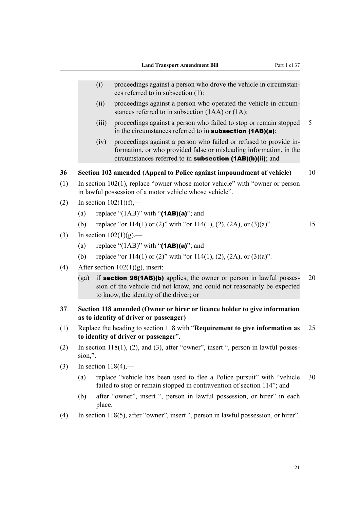- (i) proceedings against a person who drove the vehicle in circumstances referred to in subsection (1):
- (ii) proceedings against a person who operated the vehicle in circumstances referred to in subsection (1AA) or (1A):
- (iii) proceedings against a person who failed to stop or remain stopped 5 in the circumstances referred to in **subsection (1AB)(a)**:
- (iv) proceedings against a person who failed or refused to provide information, or who provided false or misleading information, in the circumstances referred to in subsection (1AB)(b)(ii); and

#### **36 Section 102 amended (Appeal to Police against impoundment of vehicle)** 10

- (1) In section 102(1), replace "owner whose motor vehicle" with "owner or person in lawful possession of a motor vehicle whose vehicle".
- (2) In section  $102(1)(f)$ ,—
	- (a) replace "(1AB)" with " $(1AB)(a)$ "; and
	- (b) replace "or  $114(1)$  or  $(2)$ " with "or  $114(1)$ ,  $(2)$ ,  $(2A)$ , or  $(3)(a)$ ". 15
- (3) In section  $102(1)(g)$ ,—
	- (a) replace "(1AB)" with " $(1AB)(a)$ "; and
	- (b) replace "or 114(1) or (2)" with "or 114(1), (2), (2A), or (3)(a)".
- (4) After section  $102(1)(g)$ , insert:
	- (ga) if **section 96(1AB)(b)** applies, the owner or person in lawful posses- 20 sion of the vehicle did not know, and could not reasonably be expected to know, the identity of the driver; or
- **37 Section 118 amended (Owner or hirer or licence holder to give information as to identity of driver or passenger)**
- (1) Replace the heading to section 118 with "**Requirement to give information as** 25 **to identity of driver or passenger**".
- (2) In section 118(1), (2), and (3), after "owner", insert ", person in lawful possession,".
- (3) In section  $118(4)$ ,—
	- (a) replace "vehicle has been used to flee a Police pursuit" with "vehicle 30 failed to stop or remain stopped in contravention of section 114"; and
	- (b) after "owner", insert ", person in lawful possession, or hirer" in each place.
- (4) In section 118(5), after "owner", insert ", person in lawful possession, or hirer".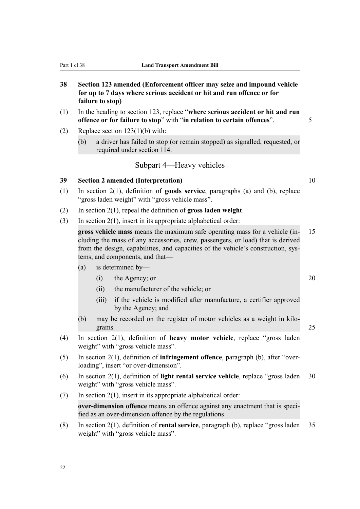# **38 Section 123 amended (Enforcement officer may seize and impound vehicle for up to 7 days where serious accident or hit and run offence or for failure to stop)**

- (1) In the heading to section 123, replace "**where serious accident or hit and run offence or for failure to stop**" with "**in relation to certain offences**". 5
- (2) Replace section 123(1)(b) with:
	- (b) a driver has failed to stop (or remain stopped) as signalled, requested, or required under section 114.

# Subpart 4—Heavy vehicles

### **39 Section 2 amended (Interpretation)** 10

- (1) In section 2(1), definition of **goods service**, paragraphs (a) and (b), replace "gross laden weight" with "gross vehicle mass".
- (2) In section 2(1), repeal the definition of **gross laden weight**.
- (3) In section 2(1), insert in its appropriate alphabetical order:

**gross vehicle mass** means the maximum safe operating mass for a vehicle (in- 15 cluding the mass of any accessories, crew, passengers, or load) that is derived from the design, capabilities, and capacities of the vehicle's construction, systems, and components, and that—

- (a) is determined by—
	- (i) the Agency; or 20
	- (ii) the manufacturer of the vehicle; or
	- (iii) if the vehicle is modified after manufacture, a certifier approved by the Agency; and
- (b) may be recorded on the register of motor vehicles as a weight in kilograms 25
- (4) In section 2(1), definition of **heavy motor vehicle**, replace "gross laden weight" with "gross vehicle mass".
- (5) In section 2(1), definition of **infringement offence**, paragraph (b), after "overloading", insert "or over-dimension".
- (6) In section 2(1), definition of **light rental service vehicle**, replace "gross laden 30 weight" with "gross vehicle mass".
- $(7)$  In section 2(1), insert in its appropriate alphabetical order:

**over-dimension offence** means an offence against any enactment that is specified as an over-dimension offence by the regulations

(8) In section 2(1), definition of **rental service**, paragraph (b), replace "gross laden 35 weight" with "gross vehicle mass".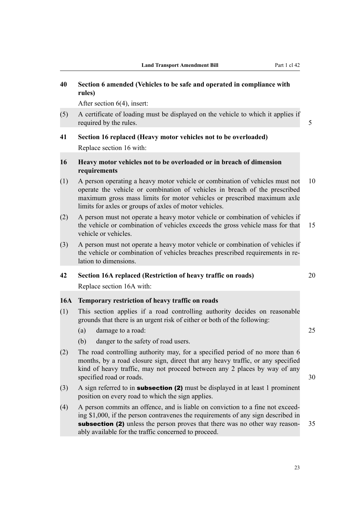# **40 Section 6 amended (Vehicles to be safe and operated in compliance with rules)**

After section 6(4), insert:

(5) A certificate of loading must be displayed on the vehicle to which it applies if required by the rules. 5

# **41 Section 16 replaced (Heavy motor vehicles not to be overloaded)** Replace section 16 with:

### **16 Heavy motor vehicles not to be overloaded or in breach of dimension requirements**

- (1) A person operating a heavy motor vehicle or combination of vehicles must not 10 operate the vehicle or combination of vehicles in breach of the prescribed maximum gross mass limits for motor vehicles or prescribed maximum axle limits for axles or groups of axles of motor vehicles.
- (2) A person must not operate a heavy motor vehicle or combination of vehicles if the vehicle or combination of vehicles exceeds the gross vehicle mass for that 15 vehicle or vehicles.
- (3) A person must not operate a heavy motor vehicle or combination of vehicles if the vehicle or combination of vehicles breaches prescribed requirements in relation to dimensions.

# **42 Section 16A replaced (Restriction of heavy traffic on roads)** 20

Replace section 16A with:

# **16A Temporary restriction of heavy traffic on roads**

- (1) This section applies if a road controlling authority decides on reasonable grounds that there is an urgent risk of either or both of the following:
	- (a) damage to a road: 25
	- (b) danger to the safety of road users.
- (2) The road controlling authority may, for a specified period of no more than 6 months, by a road closure sign, direct that any heavy traffic, or any specified kind of heavy traffic, may not proceed between any 2 places by way of any specified road or roads. 30
- (3) A sign referred to in **subsection (2)** must be displayed in at least 1 prominent position on every road to which the sign applies.
- (4) A person commits an offence, and is liable on conviction to a fine not exceeding \$1,000, if the person contravenes the requirements of any sign described in **subsection (2)** unless the person proves that there was no other way reason- 35 ably available for the traffic concerned to proceed.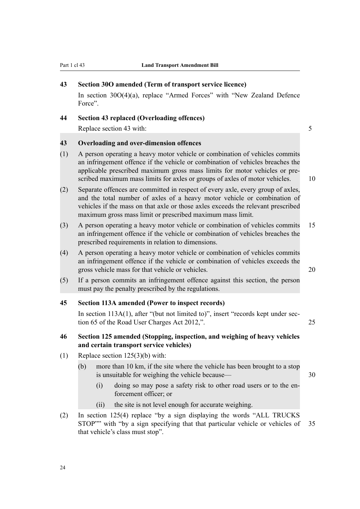#### **43 Section 30O amended (Term of transport service licence)**

In section 30O(4)(a), replace "Armed Forces" with "New Zealand Defence Force".

#### **44 Section 43 replaced (Overloading offences)**

Replace section 43 with: 5

# **43 Overloading and over-dimension offences**

- (1) A person operating a heavy motor vehicle or combination of vehicles commits an infringement offence if the vehicle or combination of vehicles breaches the applicable prescribed maximum gross mass limits for motor vehicles or prescribed maximum mass limits for axles or groups of axles of motor vehicles. 10
- (2) Separate offences are committed in respect of every axle, every group of axles, and the total number of axles of a heavy motor vehicle or combination of vehicles if the mass on that axle or those axles exceeds the relevant prescribed maximum gross mass limit or prescribed maximum mass limit.
- (3) A person operating a heavy motor vehicle or combination of vehicles commits 15 an infringement offence if the vehicle or combination of vehicles breaches the prescribed requirements in relation to dimensions.
- (4) A person operating a heavy motor vehicle or combination of vehicles commits an infringement offence if the vehicle or combination of vehicles exceeds the gross vehicle mass for that vehicle or vehicles. 20
- (5) If a person commits an infringement offence against this section, the person must pay the penalty prescribed by the regulations.

#### **45 Section 113A amended (Power to inspect records)**

In section 113A(1), after "(but not limited to)", insert "records kept under section 65 of the Road User Charges Act 2012,". 25

# **46 Section 125 amended (Stopping, inspection, and weighing of heavy vehicles and certain transport service vehicles)**

- (1) Replace section 125(3)(b) with:
	- (b) more than 10 km, if the site where the vehicle has been brought to a stop is unsuitable for weighing the vehicle because— 30
		- (i) doing so may pose a safety risk to other road users or to the enforcement officer; or
		- (ii) the site is not level enough for accurate weighing.
- (2) In section 125(4) replace "by a sign displaying the words "ALL TRUCKS STOP"" with "by a sign specifying that that particular vehicle or vehicles of 35 that vehicle's class must stop".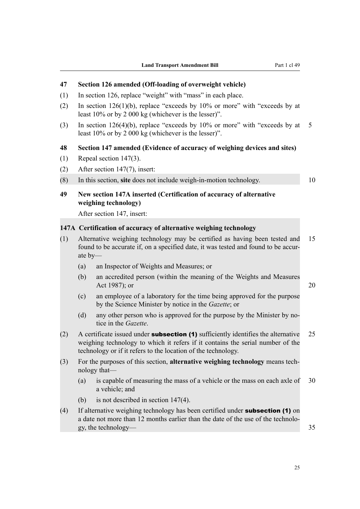# **47 Section 126 amended (Off-loading of overweight vehicle)**

- (1) In section 126, replace "weight" with "mass" in each place.
- (2) In section  $126(1)(b)$ , replace "exceeds by  $10\%$  or more" with "exceeds by at least 10% or by 2 000 kg (whichever is the lesser)".
- (3) In section 126(4)(b), replace "exceeds by  $10\%$  or more" with "exceeds by at 5 least 10% or by 2 000 kg (whichever is the lesser)".

#### **48 Section 147 amended (Evidence of accuracy of weighing devices and sites)**

- (1) Repeal section 147(3).
- (2) After section 147(7), insert:

(8) In this section, **site** does not include weigh-in-motion technology. 10

# **49 New section 147A inserted (Certification of accuracy of alternative weighing technology)**

After section 147, insert:

# **147A Certification of accuracy of alternative weighing technology**

- (1) Alternative weighing technology may be certified as having been tested and 15 found to be accurate if, on a specified date, it was tested and found to be accurate by—
	- (a) an Inspector of Weights and Measures; or
	- (b) an accredited person (within the meaning of the Weights and Measures Act 1987); or 20

- (c) an employee of a laboratory for the time being approved for the purpose by the Science Minister by notice in the *Gazette*; or
- (d) any other person who is approved for the purpose by the Minister by notice in the *Gazette*.
- (2) A certificate issued under **subsection (1)** sufficiently identifies the alternative  $25$ weighing technology to which it refers if it contains the serial number of the technology or if it refers to the location of the technology.
- (3) For the purposes of this section, **alternative weighing technology** means technology that—
	- (a) is capable of measuring the mass of a vehicle or the mass on each axle of 30 a vehicle; and
	- (b) is not described in section 147(4).
- (4) If alternative weighing technology has been certified under subsection (1) on a date not more than 12 months earlier than the date of the use of the technology, the technology— 35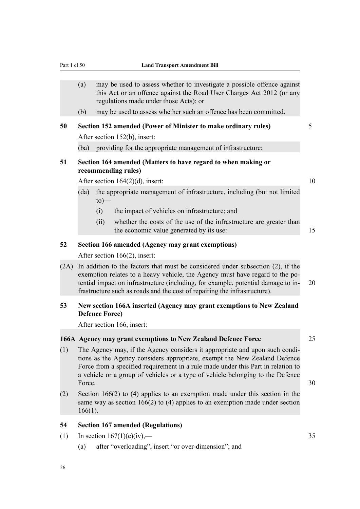#### Part 1 cl 50 **Land Transport Amendment Bill**

- (a) may be used to assess whether to investigate a possible offence against this Act or an offence against the Road User Charges Act 2012 (or any regulations made under those Acts); or
- (b) may be used to assess whether such an offence has been committed.

# **50 Section 152 amended (Power of Minister to make ordinary rules)** 5

After section 152(b), insert:

(ba) providing for the appropriate management of infrastructure:

# **51 Section 164 amended (Matters to have regard to when making or recommending rules)**

After section  $164(2)(d)$ , insert: 10

- (da) the appropriate management of infrastructure, including (but not limited  $to)$ —
	- (i) the impact of vehicles on infrastructure; and
	- (ii) whether the costs of the use of the infrastructure are greater than the economic value generated by its use: 15

#### **52 Section 166 amended (Agency may grant exemptions)**

After section 166(2), insert:

(2A) In addition to the factors that must be considered under subsection (2), if the exemption relates to a heavy vehicle, the Agency must have regard to the potential impact on infrastructure (including, for example, potential damage to in- 20 frastructure such as roads and the cost of repairing the infrastructure).

# **53 New section 166A inserted (Agency may grant exemptions to New Zealand Defence Force)**

After section 166, insert:

#### **166A Agency may grant exemptions to New Zealand Defence Force** 25

- (1) The Agency may, if the Agency considers it appropriate and upon such conditions as the Agency considers appropriate, exempt the New Zealand Defence Force from a specified requirement in a rule made under this Part in relation to a vehicle or a group of vehicles or a type of vehicle belonging to the Defence Force. 30
- (2) Section 166(2) to (4) applies to an exemption made under this section in the same way as section 166(2) to (4) applies to an exemption made under section 166(1).

### **54 Section 167 amended (Regulations)**

- (1) In section  $167(1)(e)(iv)$ ,  $-$  35
	- (a) after "overloading", insert "or over-dimension"; and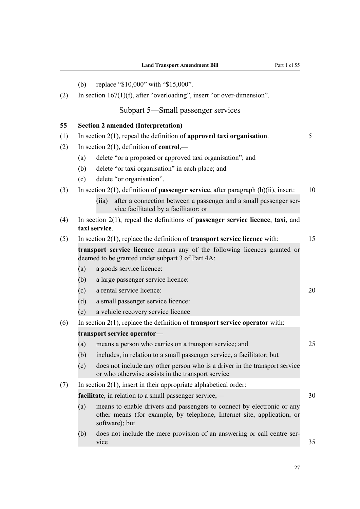|     | (b)                                                 | replace "\$10,000" with "\$15,000".                                                                                                                                |    |  |  |  |
|-----|-----------------------------------------------------|--------------------------------------------------------------------------------------------------------------------------------------------------------------------|----|--|--|--|
| (2) |                                                     | In section $167(1)(f)$ , after "overloading", insert "or over-dimension".                                                                                          |    |  |  |  |
|     |                                                     | Subpart 5—Small passenger services                                                                                                                                 |    |  |  |  |
| 55  |                                                     | <b>Section 2 amended (Interpretation)</b>                                                                                                                          |    |  |  |  |
| (1) |                                                     | In section $2(1)$ , repeal the definition of approved taxi organisation.                                                                                           | 5  |  |  |  |
| (2) | In section $2(1)$ , definition of <b>control</b> ,— |                                                                                                                                                                    |    |  |  |  |
|     | (a)                                                 | delete "or a proposed or approved taxi organisation"; and                                                                                                          |    |  |  |  |
|     | (b)                                                 | delete "or taxi organisation" in each place; and                                                                                                                   |    |  |  |  |
|     | (c)                                                 | delete "or organisation".                                                                                                                                          |    |  |  |  |
| (3) |                                                     | In section $2(1)$ , definition of <b>passenger service</b> , after paragraph $(b)(ii)$ , insert:                                                                   | 10 |  |  |  |
|     |                                                     | after a connection between a passenger and a small passenger ser-<br>(iia)<br>vice facilitated by a facilitator; or                                                |    |  |  |  |
| (4) |                                                     | In section $2(1)$ , repeal the definitions of <b>passenger service licence</b> , taxi, and<br>taxi service.                                                        |    |  |  |  |
| (5) |                                                     | In section $2(1)$ , replace the definition of <b>transport service licence</b> with:                                                                               |    |  |  |  |
|     |                                                     | transport service licence means any of the following licences granted or<br>deemed to be granted under subpart 3 of Part 4A:                                       |    |  |  |  |
|     | (a)                                                 | a goods service licence:                                                                                                                                           |    |  |  |  |
|     | (b)                                                 | a large passenger service licence:                                                                                                                                 |    |  |  |  |
|     | (c)                                                 | a rental service licence:                                                                                                                                          | 20 |  |  |  |
|     | (d)                                                 | a small passenger service licence:                                                                                                                                 |    |  |  |  |
|     | (e)                                                 | a vehicle recovery service licence                                                                                                                                 |    |  |  |  |
| (6) |                                                     | In section $2(1)$ , replace the definition of <b>transport service operator</b> with:                                                                              |    |  |  |  |
|     | transport service operator-                         |                                                                                                                                                                    |    |  |  |  |
|     | (a)                                                 | means a person who carries on a transport service; and                                                                                                             | 25 |  |  |  |
|     | (b)                                                 | includes, in relation to a small passenger service, a facilitator; but                                                                                             |    |  |  |  |
|     | (c)                                                 | does not include any other person who is a driver in the transport service<br>or who otherwise assists in the transport service                                    |    |  |  |  |
| (7) |                                                     | In section $2(1)$ , insert in their appropriate alphabetical order:                                                                                                |    |  |  |  |
|     |                                                     | facilitate, in relation to a small passenger service,—                                                                                                             |    |  |  |  |
|     | (a)                                                 | means to enable drivers and passengers to connect by electronic or any<br>other means (for example, by telephone, Internet site, application, or<br>software); but |    |  |  |  |
|     | (b)                                                 | does not include the mere provision of an answering or call centre ser-<br>vice                                                                                    | 35 |  |  |  |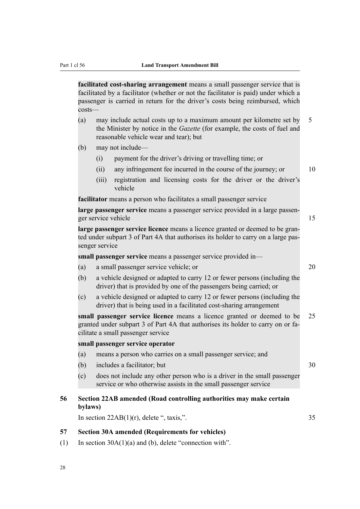**facilitated cost-sharing arrangement** means a small passenger service that is facilitated by a facilitator (whether or not the facilitator is paid) under which a passenger is carried in return for the driver's costs being reimbursed, which costs—

- (a) may include actual costs up to a maximum amount per kilometre set by 5 the Minister by notice in the *Gazette* (for example, the costs of fuel and reasonable vehicle wear and tear); but
- (b) may not include—
	- (i) payment for the driver's driving or travelling time; or
	- $(iii)$  any infringement fee incurred in the course of the journey; or  $10$
	- (iii) registration and licensing costs for the driver or the driver's vehicle

**facilitator** means a person who facilitates a small passenger service

**large passenger service** means a passenger service provided in a large passenger service vehicle 15

**large passenger service licence** means a licence granted or deemed to be granted under subpart 3 of Part 4A that authorises its holder to carry on a large passenger service

**small passenger service** means a passenger service provided in—

- (a) a small passenger service vehicle; or 20
- (b) a vehicle designed or adapted to carry 12 or fewer persons (including the driver) that is provided by one of the passengers being carried; or
- (c) a vehicle designed or adapted to carry 12 or fewer persons (including the driver) that is being used in a facilitated cost-sharing arrangement

**small passenger service licence** means a licence granted or deemed to be 25 granted under subpart 3 of Part 4A that authorises its holder to carry on or facilitate a small passenger service

#### **small passenger service operator**

- (a) means a person who carries on a small passenger service; and
- (b) includes a facilitator; but 30
- (c) does not include any other person who is a driver in the small passenger service or who otherwise assists in the small passenger service

### **56 Section 22AB amended (Road controlling authorities may make certain bylaws)**

In section  $22AB(1)(r)$ , delete ", taxis,".  $35$ 

#### **57 Section 30A amended (Requirements for vehicles)**

(1) In section 30A(1)(a) and (b), delete "connection with".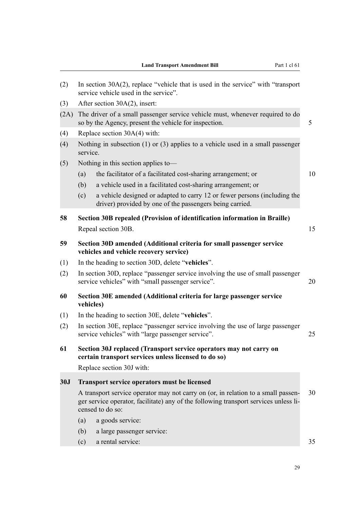| (2)        | In section $30A(2)$ , replace "vehicle that is used in the service" with "transport"<br>service vehicle used in the service".                                                                       |    |  |  |  |
|------------|-----------------------------------------------------------------------------------------------------------------------------------------------------------------------------------------------------|----|--|--|--|
| (3)        | After section 30A(2), insert:                                                                                                                                                                       |    |  |  |  |
| (2A)       | The driver of a small passenger service vehicle must, whenever required to do<br>so by the Agency, present the vehicle for inspection.                                                              |    |  |  |  |
| (4)        | Replace section $30A(4)$ with:                                                                                                                                                                      |    |  |  |  |
| (4)        | Nothing in subsection $(1)$ or $(3)$ applies to a vehicle used in a small passenger<br>service.                                                                                                     |    |  |  |  |
| (5)        | Nothing in this section applies to-                                                                                                                                                                 |    |  |  |  |
|            | (a)<br>the facilitator of a facilitated cost-sharing arrangement; or                                                                                                                                | 10 |  |  |  |
|            | a vehicle used in a facilitated cost-sharing arrangement; or<br>(b)                                                                                                                                 |    |  |  |  |
|            | a vehicle designed or adapted to carry 12 or fewer persons (including the<br>(c)<br>driver) provided by one of the passengers being carried.                                                        |    |  |  |  |
| 58         | Section 30B repealed (Provision of identification information in Braille)                                                                                                                           |    |  |  |  |
|            | Repeal section 30B.                                                                                                                                                                                 | 15 |  |  |  |
| 59         | Section 30D amended (Additional criteria for small passenger service<br>vehicles and vehicle recovery service)                                                                                      |    |  |  |  |
| (1)        | In the heading to section 30D, delete "vehicles".                                                                                                                                                   |    |  |  |  |
| (2)        | In section 30D, replace "passenger service involving the use of small passenger<br>service vehicles" with "small passenger service".                                                                |    |  |  |  |
| 60         | Section 30E amended (Additional criteria for large passenger service<br>vehicles)                                                                                                                   |    |  |  |  |
| (1)        | In the heading to section 30E, delete "vehicles".                                                                                                                                                   |    |  |  |  |
| (2)        | In section 30E, replace "passenger service involving the use of large passenger<br>service vehicles" with "large passenger service".<br>25                                                          |    |  |  |  |
| 61         | Section 30J replaced (Transport service operators may not carry on<br>certain transport services unless licensed to do so)                                                                          |    |  |  |  |
|            | Replace section 30J with:                                                                                                                                                                           |    |  |  |  |
| <b>30J</b> | <b>Transport service operators must be licensed</b>                                                                                                                                                 |    |  |  |  |
|            | 30<br>A transport service operator may not carry on (or, in relation to a small passen-<br>ger service operator, facilitate) any of the following transport services unless li-<br>censed to do so: |    |  |  |  |
|            | a goods service:<br>(a)                                                                                                                                                                             |    |  |  |  |
|            | (b)<br>a large passenger service:                                                                                                                                                                   |    |  |  |  |
|            | a rental service:<br>(c)                                                                                                                                                                            | 35 |  |  |  |
|            |                                                                                                                                                                                                     |    |  |  |  |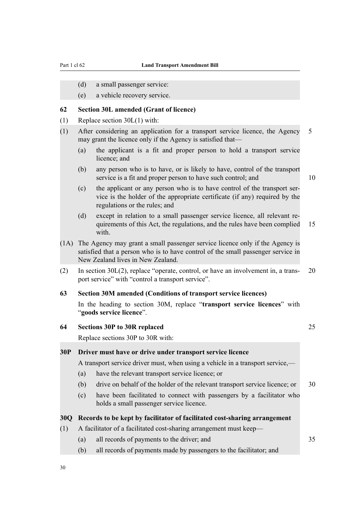- (d) a small passenger service:
- (e) a vehicle recovery service.

#### **62 Section 30L amended (Grant of licence)**

- (1) Replace section 30L(1) with:
- (1) After considering an application for a transport service licence, the Agency 5 may grant the licence only if the Agency is satisfied that—
	- (a) the applicant is a fit and proper person to hold a transport service licence; and
	- (b) any person who is to have, or is likely to have, control of the transport service is a fit and proper person to have such control; and 10

- (c) the applicant or any person who is to have control of the transport service is the holder of the appropriate certificate (if any) required by the regulations or the rules; and
- (d) except in relation to a small passenger service licence, all relevant requirements of this Act, the regulations, and the rules have been complied 15 with.
- (1A) The Agency may grant a small passenger service licence only if the Agency is satisfied that a person who is to have control of the small passenger service in New Zealand lives in New Zealand.
- (2) In section 30L(2), replace "operate, control, or have an involvement in, a trans- 20 port service" with "control a transport service".

### **63 Section 30M amended (Conditions of transport service licences)**

In the heading to section 30M, replace "**transport service licences**" with "**goods service licence**".

# **64 Sections 30P to 30R replaced** 25

Replace sections 30P to 30R with:

# **30P Driver must have or drive under transport service licence**

A transport service driver must, when using a vehicle in a transport service,—

- (a) have the relevant transport service licence; or
- (b) drive on behalf of the holder of the relevant transport service licence; or 30
- (c) have been facilitated to connect with passengers by a facilitator who holds a small passenger service licence.

## **30Q Records to be kept by facilitator of facilitated cost-sharing arrangement**

#### (1) A facilitator of a facilitated cost-sharing arrangement must keep—

- (a) all records of payments to the driver; and 35
- (b) all records of payments made by passengers to the facilitator; and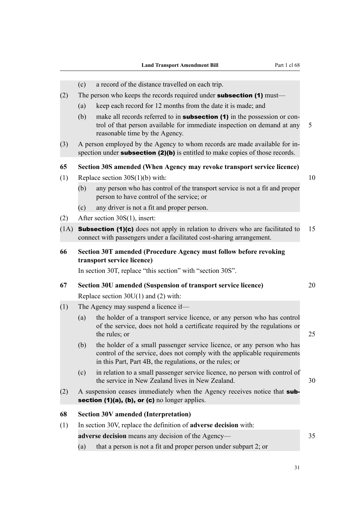- (c) a record of the distance travelled on each trip.
- (2) The person who keeps the records required under **subsection (1)** must—
	- (a) keep each record for 12 months from the date it is made; and
	- (b) make all records referred to in **subsection (1)** in the possession or control of that person available for immediate inspection on demand at any 5 reasonable time by the Agency.
- (3) A person employed by the Agency to whom records are made available for inspection under **subsection (2)(b)** is entitled to make copies of those records.

#### **65 Section 30S amended (When Agency may revoke transport service licence)**

- (1) Replace section  $30S(1)(b)$  with: 10
	- (b) any person who has control of the transport service is not a fit and proper person to have control of the service; or
	- (c) any driver is not a fit and proper person.
- (2) After section 30S(1), insert:
- (1A) **Subsection (1)(c)** does not apply in relation to drivers who are facilitated to 15 connect with passengers under a facilitated cost-sharing arrangement.
- **66 Section 30T amended (Procedure Agency must follow before revoking transport service licence)**

In section 30T, replace "this section" with "section 30S".

- **67 Section 30U amended (Suspension of transport service licence)** 20 Replace section 30U(1) and (2) with:
- (1) The Agency may suspend a licence if—
	- (a) the holder of a transport service licence, or any person who has control of the service, does not hold a certificate required by the regulations or the rules; or 25
	- (b) the holder of a small passenger service licence, or any person who has control of the service, does not comply with the applicable requirements in this Part, Part 4B, the regulations, or the rules; or
	- (c) in relation to a small passenger service licence, no person with control of the service in New Zealand lives in New Zealand. 30
- (2) A suspension ceases immediately when the Agency receives notice that subsection (1)(a), (b), or (c) no longer applies.

#### **68 Section 30V amended (Interpretation)**

(1) In section 30V, replace the definition of **adverse decision** with:

**adverse decision** means any decision of the Agency— 35

(a) that a person is not a fit and proper person under subpart 2; or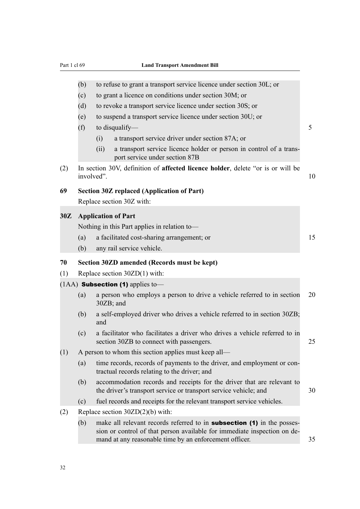|     | (b)                                                  | to refuse to grant a transport service licence under section 30L; or                                                                                                                                                |    |  |  |
|-----|------------------------------------------------------|---------------------------------------------------------------------------------------------------------------------------------------------------------------------------------------------------------------------|----|--|--|
|     | (c)                                                  | to grant a licence on conditions under section 30M; or                                                                                                                                                              |    |  |  |
|     | (d)                                                  | to revoke a transport service licence under section 30S; or                                                                                                                                                         |    |  |  |
|     | (e)                                                  | to suspend a transport service licence under section 30U; or                                                                                                                                                        |    |  |  |
|     | (f)                                                  | to disqualify—                                                                                                                                                                                                      | 5  |  |  |
|     |                                                      | a transport service driver under section 87A; or<br>(i)                                                                                                                                                             |    |  |  |
|     |                                                      | a transport service licence holder or person in control of a trans-<br>(ii)<br>port service under section 87B                                                                                                       |    |  |  |
| (2) |                                                      | In section 30V, definition of affected licence holder, delete "or is or will be<br>involved".                                                                                                                       | 10 |  |  |
| 69  |                                                      | <b>Section 30Z replaced (Application of Part)</b>                                                                                                                                                                   |    |  |  |
|     |                                                      | Replace section 30Z with:                                                                                                                                                                                           |    |  |  |
| 30Z |                                                      | <b>Application of Part</b>                                                                                                                                                                                          |    |  |  |
|     |                                                      | Nothing in this Part applies in relation to-                                                                                                                                                                        |    |  |  |
|     | (a)                                                  | a facilitated cost-sharing arrangement; or                                                                                                                                                                          | 15 |  |  |
|     | (b)                                                  | any rail service vehicle.                                                                                                                                                                                           |    |  |  |
| 70  |                                                      | Section 30ZD amended (Records must be kept)                                                                                                                                                                         |    |  |  |
| (1) | Replace section $30ZD(1)$ with:                      |                                                                                                                                                                                                                     |    |  |  |
|     |                                                      | $(1AA)$ Subsection (1) applies to-                                                                                                                                                                                  |    |  |  |
|     | (a)                                                  | a person who employs a person to drive a vehicle referred to in section<br>30ZB; and                                                                                                                                | 20 |  |  |
|     | (b)                                                  | a self-employed driver who drives a vehicle referred to in section 30ZB;<br>and                                                                                                                                     |    |  |  |
|     | (c)                                                  | a facilitator who facilitates a driver who drives a vehicle referred to in<br>section 30ZB to connect with passengers.                                                                                              | 25 |  |  |
| (1) | A person to whom this section applies must keep all— |                                                                                                                                                                                                                     |    |  |  |
|     | (a)                                                  | time records, records of payments to the driver, and employment or con-<br>tractual records relating to the driver; and                                                                                             |    |  |  |
|     | (b)                                                  | accommodation records and receipts for the driver that are relevant to<br>the driver's transport service or transport service vehicle; and                                                                          | 30 |  |  |
|     | (c)                                                  | fuel records and receipts for the relevant transport service vehicles.                                                                                                                                              |    |  |  |
| (2) |                                                      | Replace section $30ZD(2)(b)$ with:                                                                                                                                                                                  |    |  |  |
|     | (b)                                                  | make all relevant records referred to in <b>subsection</b> (1) in the posses-<br>sion or control of that person available for immediate inspection on de-<br>mand at any reasonable time by an enforcement officer. | 35 |  |  |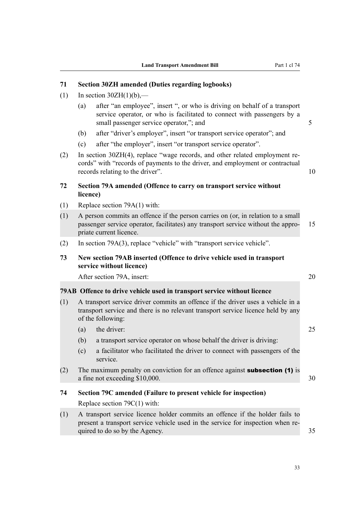# **71 Section 30ZH amended (Duties regarding logbooks)**

- (1) In section  $30ZH(1)(b)$ ,—
	- (a) after "an employee", insert ", or who is driving on behalf of a transport service operator, or who is facilitated to connect with passengers by a small passenger service operator,"; and 5
	- (b) after "driver's employer", insert "or transport service operator"; and
	- (c) after "the employer", insert "or transport service operator".
- (2) In section 30ZH(4), replace "wage records, and other related employment records" with "records of payments to the driver, and employment or contractual records relating to the driver". 10

# **72 Section 79A amended (Offence to carry on transport service without licence)**

- (1) Replace section 79A(1) with:
- (1) A person commits an offence if the person carries on (or, in relation to a small passenger service operator, facilitates) any transport service without the appro- 15 priate current licence.
- (2) In section 79A(3), replace "vehicle" with "transport service vehicle".

# **73 New section 79AB inserted (Offence to drive vehicle used in transport service without licence)**

After section 79A, insert: 20

#### **79AB Offence to drive vehicle used in transport service without licence**

- (1) A transport service driver commits an offence if the driver uses a vehicle in a transport service and there is no relevant transport service licence held by any of the following:
	- (a) the driver: 25
	- (b) a transport service operator on whose behalf the driver is driving:
	- (c) a facilitator who facilitated the driver to connect with passengers of the service.
- (2) The maximum penalty on conviction for an offence against **subsection (1)** is a fine not exceeding \$10,000. 30
- **74 Section 79C amended (Failure to present vehicle for inspection)** Replace section 79C(1) with:
- (1) A transport service licence holder commits an offence if the holder fails to present a transport service vehicle used in the service for inspection when required to do so by the Agency.  $35$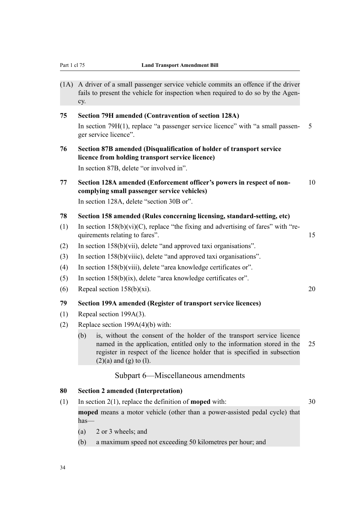(1A) A driver of a small passenger service vehicle commits an offence if the driver fails to present the vehicle for inspection when required to do so by the Agency.

# **75 Section 79H amended (Contravention of section 128A)**

In section 79H(1), replace "a passenger service licence" with "a small passen- 5 ger service licence".

# **76 Section 87B amended (Disqualification of holder of transport service licence from holding transport service licence)**

In section 87B, delete "or involved in".

# **77 Section 128A amended (Enforcement officer's powers in respect of non-** 10 **complying small passenger service vehicles)**

In section 128A, delete "section 30B or".

#### **78 Section 158 amended (Rules concerning licensing, standard-setting, etc)**

- (1) In section  $158(b)(vi)(C)$ , replace "the fixing and advertising of fares" with "requirements relating to fares". 15
- (2) In section 158(b)(vii), delete "and approved taxi organisations".
- (3) In section 158(b)(viiic), delete "and approved taxi organisations".
- (4) In section 158(b)(viii), delete "area knowledge certificates or".
- (5) In section 158(b)(ix), delete "area knowledge certificates or".
- (6) Repeal section  $158(b)(xi)$ . 20

#### **79 Section 199A amended (Register of transport service licences)**

- (1) Repeal section 199A(3).
- (2) Replace section  $199A(4)(b)$  with:
	- (b) is, without the consent of the holder of the transport service licence named in the application, entitled only to the information stored in the 25 register in respect of the licence holder that is specified in subsection  $(2)(a)$  and  $(g)$  to  $(l)$ .

# Subpart 6—Miscellaneous amendments

#### **80 Section 2 amended (Interpretation)**

(1) In section 2(1), replace the definition of **moped** with: 30

**moped** means a motor vehicle (other than a power-assisted pedal cycle) that has—

- (a) 2 or 3 wheels; and
- (b) a maximum speed not exceeding 50 kilometres per hour; and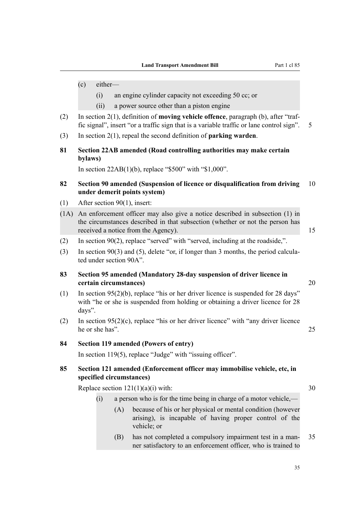- (i) an engine cylinder capacity not exceeding 50 cc; or
- (ii) a power source other than a piston engine
- (2) In section 2(1), definition of **moving vehicle offence**, paragraph (b), after "traffic signal", insert "or a traffic sign that is a variable traffic or lane control sign". 5
- (3) In section 2(1), repeal the second definition of **parking warden**.
- **81 Section 22AB amended (Road controlling authorities may make certain bylaws)**

In section  $22AB(1)(b)$ , replace "\$500" with "\$1,000".

- **82 Section 90 amended (Suspension of licence or disqualification from driving** 10 **under demerit points system)**
- (1) After section 90(1), insert:
- (1A) An enforcement officer may also give a notice described in subsection (1) in the circumstances described in that subsection (whether or not the person has received a notice from the Agency). 15
- (2) In section 90(2), replace "served" with "served, including at the roadside,".
- (3) In section 90(3) and (5), delete "or, if longer than 3 months, the period calculated under section 90A".
- **83 Section 95 amended (Mandatory 28-day suspension of driver licence in certain circumstances)** 20
- (1) In section 95(2)(b), replace "his or her driver licence is suspended for 28 days" with "he or she is suspended from holding or obtaining a driver licence for 28 days".
- (2) In section 95(2)(c), replace "his or her driver licence" with "any driver licence he or she has". 25

#### **84 Section 119 amended (Powers of entry)**

In section 119(5), replace "Judge" with "issuing officer".

### **85 Section 121 amended (Enforcement officer may immobilise vehicle, etc, in specified circumstances)**

Replace section  $121(1)(a)(i)$  with: 30

- (i) a person who is for the time being in charge of a motor vehicle,—
	- (A) because of his or her physical or mental condition (however arising), is incapable of having proper control of the vehicle; or
	- (B) has not completed a compulsory impairment test in a man- 35 ner satisfactory to an enforcement officer, who is trained to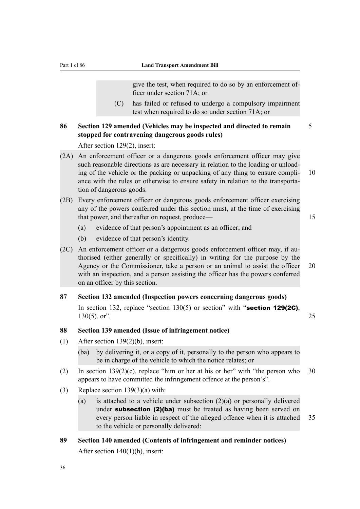give the test, when required to do so by an enforcement officer under section 71A; or

(C) has failed or refused to undergo a compulsory impairment test when required to do so under section 71A; or

# **86 Section 129 amended (Vehicles may be inspected and directed to remain** 5 **stopped for contravening dangerous goods rules)**

After section 129(2), insert:

- (2A) An enforcement officer or a dangerous goods enforcement officer may give such reasonable directions as are necessary in relation to the loading or unloading of the vehicle or the packing or unpacking of any thing to ensure compli- 10 ance with the rules or otherwise to ensure safety in relation to the transportation of dangerous goods.
- (2B) Every enforcement officer or dangerous goods enforcement officer exercising any of the powers conferred under this section must, at the time of exercising that power, and thereafter on request, produce— 15
	-

- (a) evidence of that person's appointment as an officer; and
- (b) evidence of that person's identity.
- (2C) An enforcement officer or a dangerous goods enforcement officer may, if authorised (either generally or specifically) in writing for the purpose by the Agency or the Commissioner, take a person or an animal to assist the officer 20 with an inspection, and a person assisting the officer has the powers conferred on an officer by this section.

#### **87 Section 132 amended (Inspection powers concerning dangerous goods)**

In section 132, replace "section  $130(5)$  or section" with "section 129(2C), 130(5), or". 25

### **88 Section 139 amended (Issue of infringement notice)**

- (1) After section 139(2)(b), insert:
	- (ba) by delivering it, or a copy of it, personally to the person who appears to be in charge of the vehicle to which the notice relates; or
- (2) In section  $139(2)(c)$ , replace "him or her at his or her" with "the person who 30 appears to have committed the infringement offence at the person's".
- (3) Replace section  $139(3)(a)$  with:
	- (a) is attached to a vehicle under subsection  $(2)(a)$  or personally delivered under **subsection (2)(ba)** must be treated as having been served on every person liable in respect of the alleged offence when it is attached 35 to the vehicle or personally delivered:
- **89 Section 140 amended (Contents of infringement and reminder notices)** After section 140(1)(h), insert: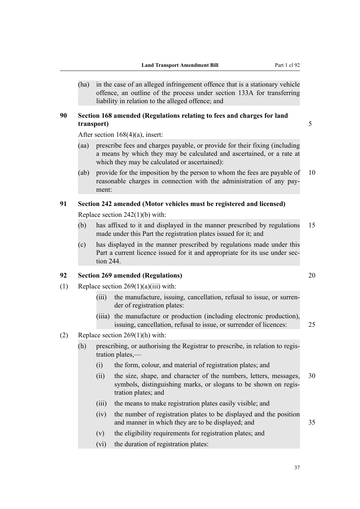(ha) in the case of an alleged infringement offence that is a stationary vehicle offence, an outline of the process under section 133A for transferring liability in relation to the alleged offence; and

# **90 Section 168 amended (Regulations relating to fees and charges for land transport)** 5

After section 168(4)(a), insert:

- (aa) prescribe fees and charges payable, or provide for their fixing (including a means by which they may be calculated and ascertained, or a rate at which they may be calculated or ascertained):
- (ab) provide for the imposition by the person to whom the fees are payable of 10 reasonable charges in connection with the administration of any payment:

# **91 Section 242 amended (Motor vehicles must be registered and licensed)**

Replace section 242(1)(b) with:

- (b) has affixed to it and displayed in the manner prescribed by regulations 15 made under this Part the registration plates issued for it; and
- (c) has displayed in the manner prescribed by regulations made under this Part a current licence issued for it and appropriate for its use under section 244.

# **92 Section 269 amended (Regulations)** 20

- (1) Replace section  $269(1)(a)(iii)$  with:
	- (iii) the manufacture, issuing, cancellation, refusal to issue, or surrender of registration plates:
	- (iiia) the manufacture or production (including electronic production), issuing, cancellation, refusal to issue, or surrender of licences: 25
- (2) Replace section 269(1)(h) with:
	- (h) prescribing, or authorising the Registrar to prescribe, in relation to registration plates,—
		- (i) the form, colour, and material of registration plates; and
		- (ii) the size, shape, and character of the numbers, letters, messages, 30 symbols, distinguishing marks, or slogans to be shown on registration plates; and
		- (iii) the means to make registration plates easily visible; and
		- (iv) the number of registration plates to be displayed and the position and manner in which they are to be displayed; and 35
		- (v) the eligibility requirements for registration plates; and
		- (vi) the duration of registration plates: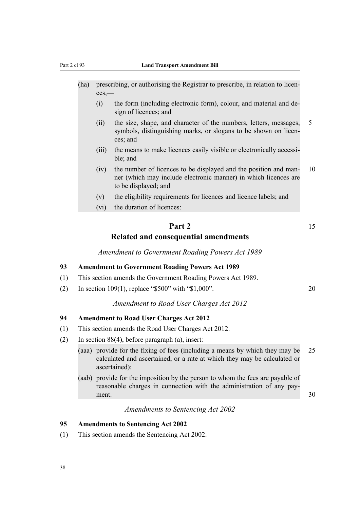- (ha) prescribing, or authorising the Registrar to prescribe, in relation to licences,—
	- (i) the form (including electronic form), colour, and material and design of licences; and
	- (ii) the size, shape, and character of the numbers, letters, messages, 5 symbols, distinguishing marks, or slogans to be shown on licences; and
	- (iii) the means to make licences easily visible or electronically accessible; and
	- (iv) the number of licences to be displayed and the position and man- 10 ner (which may include electronic manner) in which licences are to be displayed; and
	- (v) the eligibility requirements for licences and licence labels; and
	- (vi) the duration of licences:

# **Part 2** 15 **Related and consequential amendments**

*Amendment to Government Roading Powers Act 1989*

#### **93 Amendment to Government Roading Powers Act 1989**

- (1) This section amends the Government Roading Powers Act 1989.
- (2) In section 109(1), replace "\$500" with "\$1,000". 20

#### *Amendment to Road User Charges Act 2012*

#### **94 Amendment to Road User Charges Act 2012**

- (1) This section amends the Road User Charges Act 2012.
- (2) In section 88(4), before paragraph (a), insert:
	- (aaa) provide for the fixing of fees (including a means by which they may be 25 calculated and ascertained, or a rate at which they may be calculated or ascertained):
	- (aab) provide for the imposition by the person to whom the fees are payable of reasonable charges in connection with the administration of any payment.  $30$

*Amendments to Sentencing Act 2002*

#### **95 Amendments to Sentencing Act 2002**

(1) This section amends the Sentencing Act 2002.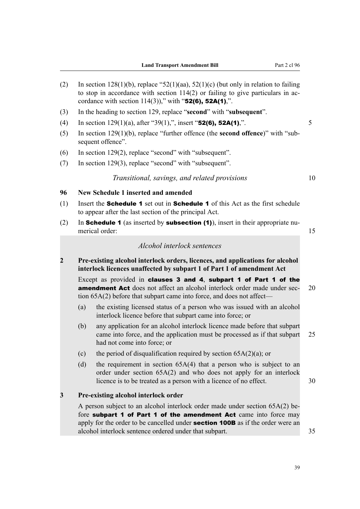- (2) In section 128(1)(b), replace " $52(1)(aa)$ ,  $52(1)(c)$  (but only in relation to failing to stop in accordance with section 114(2) or failing to give particulars in accordance with section  $114(3)$ ," with "52(6), 52A(1),".
- (3) In the heading to section 129, replace "**second**" with "**subsequent**".
- (4) In section  $129(1)(a)$ , after "39(1),", insert "**52(6), 52A(1)**,".
- (5) In section 129(1)(b), replace "further offence (the **second offence**)" with "subsequent offence".
- (6) In section 129(2), replace "second" with "subsequent".
- (7) In section 129(3), replace "second" with "subsequent".

#### *Transitional, savings, and related provisions* 10

#### **96 New Schedule 1 inserted and amended**

- (1) Insert the **Schedule 1** set out in **Schedule 1** of this Act as the first schedule to appear after the last section of the principal Act.
- (2) In **Schedule 1** (as inserted by **subsection (1)**), insert in their appropriate numerical order: 15

### *Alcohol interlock sentences*

**2 Pre-existing alcohol interlock orders, licences, and applications for alcohol interlock licences unaffected by subpart 1 of Part 1 of amendment Act**

Except as provided in clauses 3 and 4, subpart 1 of Part 1 of the **amendment Act** does not affect an alcohol interlock order made under sec- 20 tion 65A(2) before that subpart came into force, and does not affect—

- (a) the existing licensed status of a person who was issued with an alcohol interlock licence before that subpart came into force; or
- (b) any application for an alcohol interlock licence made before that subpart came into force, and the application must be processed as if that subpart 25 had not come into force; or
- (c) the period of disqualification required by section  $65A(2)(a)$ ; or
- (d) the requirement in section 65A(4) that a person who is subject to an order under section 65A(2) and who does not apply for an interlock licence is to be treated as a person with a licence of no effect. 30

#### **3 Pre-existing alcohol interlock order**

A person subject to an alcohol interlock order made under section 65A(2) before subpart 1 of Part 1 of the amendment Act came into force may apply for the order to be cancelled under **section 100B** as if the order were an alcohol interlock sentence ordered under that subpart. 35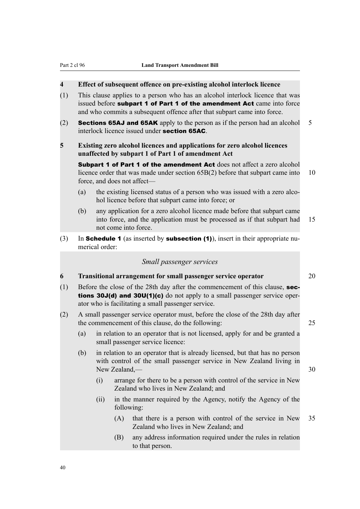# **4 Effect of subsequent offence on pre-existing alcohol interlock licence**

- (1) This clause applies to a person who has an alcohol interlock licence that was issued before subpart 1 of Part 1 of the amendment Act came into force and who commits a subsequent offence after that subpart came into force.
- (2) **Sections 65AJ and 65AK** apply to the person as if the person had an alcohol 5 interlock licence issued under section 65AC.

### **5 Existing zero alcohol licences and applications for zero alcohol licences unaffected by subpart 1 of Part 1 of amendment Act**

Subpart 1 of Part 1 of the amendment Act does not affect a zero alcohol licence order that was made under section 65B(2) before that subpart came into 10 force, and does not affect—

- (a) the existing licensed status of a person who was issued with a zero alcohol licence before that subpart came into force; or
- (b) any application for a zero alcohol licence made before that subpart came into force, and the application must be processed as if that subpart had 15 not come into force.
- (3) In **Schedule 1** (as inserted by **subsection (1)**), insert in their appropriate numerical order:

# *Small passenger services*

# **6 Transitional arrangement for small passenger service operator** 20

- (1) Before the close of the 28th day after the commencement of this clause, **sec**tions 30J(d) and 30U(1)(c) do not apply to a small passenger service operator who is facilitating a small passenger service.
- (2) A small passenger service operator must, before the close of the 28th day after the commencement of this clause, do the following: 25
	- (a) in relation to an operator that is not licensed, apply for and be granted a small passenger service licence:
	- (b) in relation to an operator that is already licensed, but that has no person with control of the small passenger service in New Zealand living in New Zealand, 2008 30
		- (i) arrange for there to be a person with control of the service in New Zealand who lives in New Zealand; and
		- (ii) in the manner required by the Agency, notify the Agency of the following:
			- (A) that there is a person with control of the service in New 35 Zealand who lives in New Zealand; and
			- (B) any address information required under the rules in relation to that person.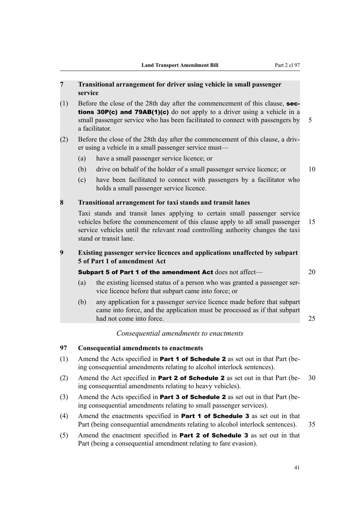# **7 Transitional arrangement for driver using vehicle in small passenger service**

(1) Before the close of the 28th day after the commencement of this clause, sections 30P(c) and 79AB(1)(c) do not apply to a driver using a vehicle in a small passenger service who has been facilitated to connect with passengers by 5 a facilitator.

# (2) Before the close of the 28th day after the commencement of this clause, a driver using a vehicle in a small passenger service must—

- (a) have a small passenger service licence; or
- (b) drive on behalf of the holder of a small passenger service licence; or 10
- (c) have been facilitated to connect with passengers by a facilitator who holds a small passenger service licence.

#### **8 Transitional arrangement for taxi stands and transit lanes**

Taxi stands and transit lanes applying to certain small passenger service vehicles before the commencement of this clause apply to all small passenger 15 service vehicles until the relevant road controlling authority changes the taxi stand or transit lane.

# **9 Existing passenger service licences and applications unaffected by subpart 5 of Part 1 of amendment Act**

# Subpart 5 of Part 1 of the amendment Act does not affect— 20

- (a) the existing licensed status of a person who was granted a passenger service licence before that subpart came into force; or
- (b) any application for a passenger service licence made before that subpart came into force, and the application must be processed as if that subpart had not come into force. 25

# *Consequential amendments to enactments*

### **97 Consequential amendments to enactments**

- (1) Amend the Acts specified in **Part 1 of Schedule 2** as set out in that Part (being consequential amendments relating to alcohol interlock sentences).
- (2) Amend the Act specified in **Part 2 of Schedule 2** as set out in that Part (be- 30) ing consequential amendments relating to heavy vehicles).
- (3) Amend the Acts specified in **Part 3 of Schedule 2** as set out in that Part (being consequential amendments relating to small passenger services).
- (4) Amend the enactments specified in Part 1 of Schedule 3 as set out in that Part (being consequential amendments relating to alcohol interlock sentences). 35
- (5) Amend the enactment specified in **Part 2 of Schedule 3** as set out in that Part (being a consequential amendment relating to fare evasion).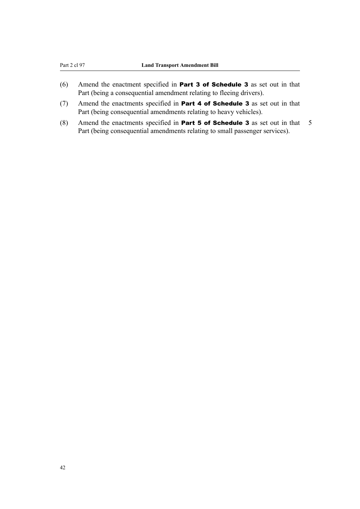- (6) Amend the enactment specified in Part 3 of Schedule 3 as set out in that Part (being a consequential amendment relating to fleeing drivers).
- (7) Amend the enactments specified in **Part 4 of Schedule 3** as set out in that Part (being consequential amendments relating to heavy vehicles).
- (8) Amend the enactments specified in **Part 5 of Schedule 3** as set out in that  $5$ Part (being consequential amendments relating to small passenger services).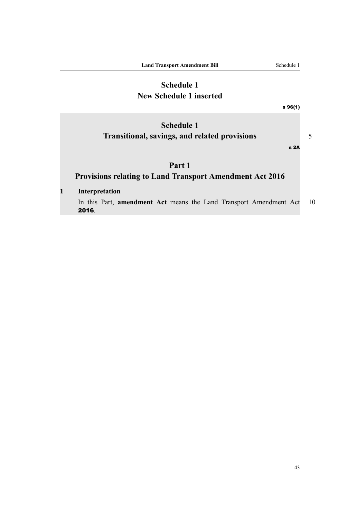# **Schedule 1 New Schedule 1 inserted**

s 96(1)

s 2A

# **Schedule 1 Transitional, savings, and related provisions** 5

**Part 1**

# **Provisions relating to Land Transport Amendment Act 2016**

**1 Interpretation**

In this Part, **amendment Act** means the Land Transport Amendment Act 10 2016.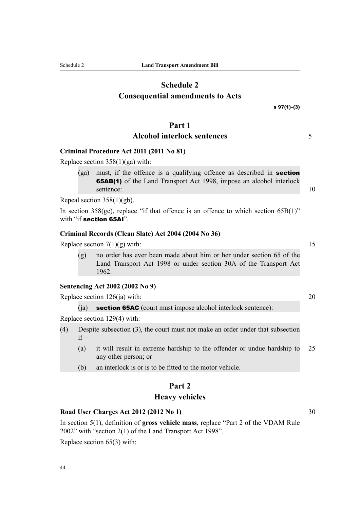44

# **Schedule 2 Consequential amendments to Acts**

# **Part 1**

# **Alcohol interlock sentences** 5

# **Criminal Procedure Act 2011 (2011 No 81)**

Replace section 358(1)(ga) with:

(ga) must, if the offence is a qualifying offence as described in section 65AB(1) of the Land Transport Act 1998, impose an alcohol interlock sentence: 10

Repeal section 358(1)(gb).

In section  $358(gc)$ , replace "if that offence is an offence to which section  $65B(1)$ " with "if section 65AI".

#### **Criminal Records (Clean Slate) Act 2004 (2004 No 36)**

Replace section  $7(1)(g)$  with: 15

(g) no order has ever been made about him or her under section 65 of the Land Transport Act 1998 or under section 30A of the Transport Act 1962.

# **Sentencing Act 2002 (2002 No 9)**

Replace section  $126(ia)$  with: 20

(ia) **section 65AC** (court must impose alcohol interlock sentence):

Replace section 129(4) with:

- (4) Despite subsection (3), the court must not make an order under that subsection if—
	- (a) it will result in extreme hardship to the offender or undue hardship to 25 any other person; or
	- (b) an interlock is or is to be fitted to the motor vehicle.

# **Part 2**

#### **Heavy vehicles**

#### **Road User Charges Act 2012 (2012 No 1)** 30

In section 5(1), definition of **gross vehicle mass**, replace "Part 2 of the VDAM Rule 2002" with "section 2(1) of the Land Transport Act 1998".

Replace section 65(3) with:

s 97(1)–(3)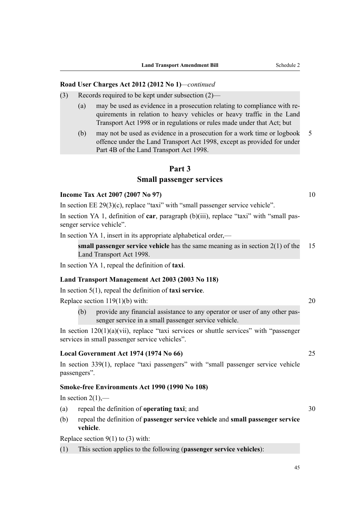#### **Road User Charges Act 2012 (2012 No 1)***—continued*

- (3) Records required to be kept under subsection (2)—
	- (a) may be used as evidence in a prosecution relating to compliance with requirements in relation to heavy vehicles or heavy traffic in the Land Transport Act 1998 or in regulations or rules made under that Act; but
	- (b) may not be used as evidence in a prosecution for a work time or logbook 5 offence under the Land Transport Act 1998, except as provided for under Part 4B of the Land Transport Act 1998.

#### **Part 3**

#### **Small passenger services**

#### **Income Tax Act 2007 (2007 No 97)** 10

In section EE 29(3)(c), replace "taxi" with "small passenger service vehicle".

In section YA 1, definition of **car**, paragraph (b)(iii), replace "taxi" with "small passenger service vehicle".

In section YA 1, insert in its appropriate alphabetical order,—

**small passenger service vehicle** has the same meaning as in section 2(1) of the 15 Land Transport Act 1998.

In section YA 1, repeal the definition of **taxi**.

#### **Land Transport Management Act 2003 (2003 No 118)**

In section 5(1), repeal the definition of **taxi service**.

Replace section  $119(1)(b)$  with: 20

(b) provide any financial assistance to any operator or user of any other passenger service in a small passenger service vehicle.

In section  $120(1)(a)(vii)$ , replace "taxi services or shuttle services" with "passenger services in small passenger service vehicles".

### **Local Government Act 1974 (1974 No 66)** 25

In section 339(1), replace "taxi passengers" with "small passenger service vehicle passengers".

#### **Smoke-free Environments Act 1990 (1990 No 108)**

In section  $2(1)$ ,—

- (a) repeal the definition of **operating taxi**; and 30
- (b) repeal the definition of **passenger service vehicle** and **small passenger service vehicle**.

Replace section  $9(1)$  to (3) with:

(1) This section applies to the following (**passenger service vehicles**):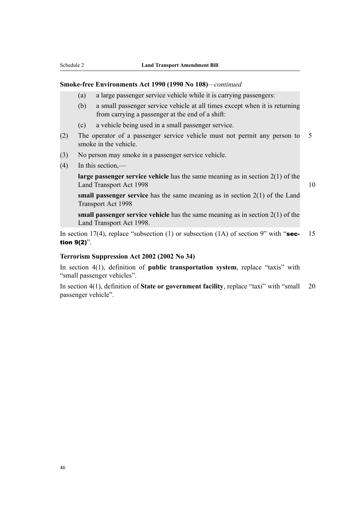#### **Smoke-free Environments Act 1990 (1990 No 108)***—continued*

- (a) a large passenger service vehicle while it is carrying passengers:
- (b) a small passenger service vehicle at all times except when it is returning from carrying a passenger at the end of a shift:
- (c) a vehicle being used in a small passenger service.
- (2) The operator of a passenger service vehicle must not permit any person to 5 smoke in the vehicle.
- (3) No person may smoke in a passenger service vehicle.
- (4) In this section,—

**large passenger service vehicle** has the same meaning as in section 2(1) of the Land Transport Act 1998 10

**small passenger service** has the same meaning as in section 2(1) of the Land Transport Act 1998

**small passenger service vehicle** has the same meaning as in section 2(1) of the Land Transport Act 1998.

In section 17(4), replace "subsection (1) or subsection (1A) of section 9" with "sec- 15 tion 9(2)".

#### **Terrorism Suppression Act 2002 (2002 No 34)**

In section 4(1), definition of **public transportation system**, replace "taxis" with "small passenger vehicles".

In section 4(1), definition of **State or government facility**, replace "taxi" with "small 20 passenger vehicle".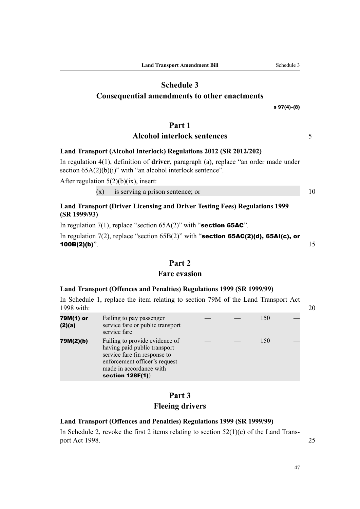# **Schedule 3**

# **Consequential amendments to other enactments**

s 97(4)–(8)

# **Part 1**

# **Alcohol interlock sentences** 5

### **Land Transport (Alcohol Interlock) Regulations 2012 (SR 2012/202)**

In regulation 4(1), definition of **driver**, paragraph (a), replace "an order made under section  $65A(2)(b)(i)$ " with "an alcohol interlock sentence".

After regulation  $5(2)(b)(ix)$ , insert:

 $(x)$  is serving a prison sentence; or  $10$ 

# **Land Transport (Driver Licensing and Driver Testing Fees) Regulations 1999 (SR 1999/93)**

In regulation  $7(1)$ , replace "section  $65A(2)$ " with "section 65AC".

In regulation 7(2), replace "section  $65B(2)$ " with "section 65AC(2)(d), 65AI(c), or **100B(2)(b)**".  $15$ 

# **Part 2**

# **Fare evasion**

#### **Land Transport (Offences and Penalties) Regulations 1999 (SR 1999/99)**

In Schedule 1, replace the item relating to section 79M of the Land Transport Act 1998 with: 20

| 79M(1) or<br>(2)(a) | Failing to pay passenger<br>service fare or public transport<br>service fare                                                                                                      |  | 150 |  |
|---------------------|-----------------------------------------------------------------------------------------------------------------------------------------------------------------------------------|--|-----|--|
| 79M(2)(b)           | Failing to provide evidence of<br>having paid public transport<br>service fare (in response to<br>enforcement officer's request<br>made in accordance with<br>section $128F(1)$ ) |  | 150 |  |

# **Part 3 Fleeing drivers**

#### **Land Transport (Offences and Penalties) Regulations 1999 (SR 1999/99)**

In Schedule 2, revoke the first 2 items relating to section  $52(1)(c)$  of the Land Transport Act 1998. 25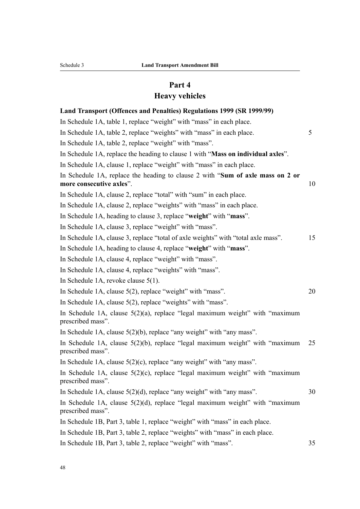# **Part 4**

# **Heavy vehicles**

| Land Transport (Offences and Penalties) Regulations 1999 (SR 1999/99)                                      |    |
|------------------------------------------------------------------------------------------------------------|----|
| In Schedule 1A, table 1, replace "weight" with "mass" in each place.                                       |    |
| In Schedule 1A, table 2, replace "weights" with "mass" in each place.                                      | 5  |
| In Schedule 1A, table 2, replace "weight" with "mass".                                                     |    |
| In Schedule 1A, replace the heading to clause 1 with "Mass on individual axles".                           |    |
| In Schedule 1A, clause 1, replace "weight" with "mass" in each place.                                      |    |
| In Schedule 1A, replace the heading to clause 2 with "Sum of axle mass on 2 or<br>more consecutive axles". | 10 |
| In Schedule 1A, clause 2, replace "total" with "sum" in each place.                                        |    |
| In Schedule 1A, clause 2, replace "weights" with "mass" in each place.                                     |    |
| In Schedule 1A, heading to clause 3, replace "weight" with "mass".                                         |    |
| In Schedule 1A, clause 3, replace "weight" with "mass".                                                    |    |
| In Schedule 1A, clause 3, replace "total of axle weights" with "total axle mass".                          | 15 |
| In Schedule 1A, heading to clause 4, replace "weight" with "mass".                                         |    |
| In Schedule 1A, clause 4, replace "weight" with "mass".                                                    |    |
| In Schedule 1A, clause 4, replace "weights" with "mass".                                                   |    |
| In Schedule 1A, revoke clause $5(1)$ .                                                                     |    |
| In Schedule 1A, clause $5(2)$ , replace "weight" with "mass".                                              | 20 |
| In Schedule 1A, clause 5(2), replace "weights" with "mass".                                                |    |
| In Schedule 1A, clause $5(2)(a)$ , replace "legal maximum weight" with "maximum<br>prescribed mass".       |    |
| In Schedule 1A, clause $5(2)(b)$ , replace "any weight" with "any mass".                                   |    |
| In Schedule 1A, clause $5(2)(b)$ , replace "legal maximum weight" with "maximum"<br>prescribed mass".      | 25 |
| In Schedule 1A, clause $5(2)(c)$ , replace "any weight" with "any mass".                                   |    |
| In Schedule 1A, clause 5(2)(c), replace "legal maximum weight" with "maximum<br>prescribed mass".          |    |
| In Schedule 1A, clause $5(2)(d)$ , replace "any weight" with "any mass".                                   | 30 |
| In Schedule 1A, clause 5(2)(d), replace "legal maximum weight" with "maximum<br>prescribed mass".          |    |
| In Schedule 1B, Part 3, table 1, replace "weight" with "mass" in each place.                               |    |
| In Schedule 1B, Part 3, table 2, replace "weights" with "mass" in each place.                              |    |
| In Schedule 1B, Part 3, table 2, replace "weight" with "mass".                                             | 35 |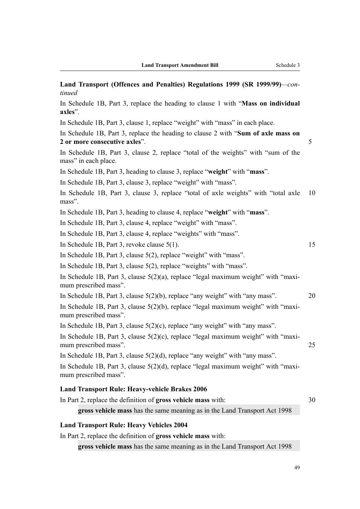| Land Transport (Offences and Penalties) Regulations 1999 (SR 1999/99)—con-<br>tinued                               |    |
|--------------------------------------------------------------------------------------------------------------------|----|
| In Schedule 1B, Part 3, replace the heading to clause 1 with "Mass on individual<br>axles".                        |    |
| In Schedule 1B, Part 3, clause 1, replace "weight" with "mass" in each place.                                      |    |
| In Schedule 1B, Part 3, replace the heading to clause 2 with "Sum of axle mass on<br>2 or more consecutive axles". | 5  |
| In Schedule 1B, Part 3, clause 2, replace "total of the weights" with "sum of the<br>mass" in each place.          |    |
| In Schedule 1B, Part 3, heading to clause 3, replace "weight" with "mass".                                         |    |
| In Schedule 1B, Part 3, clause 3, replace "weight" with "mass".                                                    |    |
| In Schedule 1B, Part 3, clause 3, replace "total of axle weights" with "total axle<br>mass".                       | 10 |
| In Schedule 1B, Part 3, heading to clause 4, replace "weight" with "mass".                                         |    |
| In Schedule 1B, Part 3, clause 4, replace "weight" with "mass".                                                    |    |
| In Schedule 1B, Part 3, clause 4, replace "weights" with "mass".                                                   |    |
| In Schedule 1B, Part 3, revoke clause 5(1).                                                                        | 15 |
| In Schedule 1B, Part 3, clause 5(2), replace "weight" with "mass".                                                 |    |
| In Schedule 1B, Part 3, clause 5(2), replace "weights" with "mass".                                                |    |
| In Schedule 1B, Part 3, clause $5(2)(a)$ , replace "legal maximum weight" with "maxi-<br>mum prescribed mass".     |    |
| In Schedule 1B, Part 3, clause $5(2)(b)$ , replace "any weight" with "any mass".                                   | 20 |
| In Schedule 1B, Part 3, clause $5(2)(b)$ , replace "legal maximum weight" with "maxi-<br>mum prescribed mass".     |    |
| In Schedule 1B, Part 3, clause $5(2)(c)$ , replace "any weight" with "any mass".                                   |    |
| In Schedule 1B, Part 3, clause $5(2)(c)$ , replace "legal maximum weight" with "maxi-<br>mum prescribed mass".     | 25 |
| In Schedule 1B, Part 3, clause 5(2)(d), replace "any weight" with "any mass".                                      |    |
| In Schedule 1B, Part 3, clause $5(2)(d)$ , replace "legal maximum weight" with "maxi-<br>mum prescribed mass".     |    |
| <b>Land Transport Rule: Heavy-vehicle Brakes 2006</b>                                                              |    |
| In Part 2, replace the definition of <b>gross vehicle mass</b> with:                                               | 30 |
| gross vehicle mass has the same meaning as in the Land Transport Act 1998                                          |    |
| <b>Land Transport Rule: Heavy Vehicles 2004</b>                                                                    |    |
| In Part 2, replace the definition of <b>gross vehicle mass</b> with:                                               |    |
|                                                                                                                    |    |

**gross vehicle mass** has the same meaning as in the Land Transport Act 1998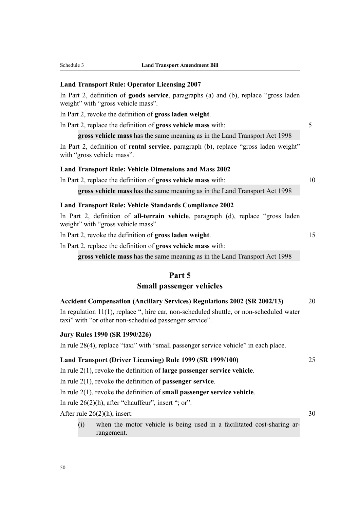| Schedule 3 |  |
|------------|--|
|            |  |

#### **Land Transport Rule: Operator Licensing 2007**

In Part 2, definition of **goods service**, paragraphs (a) and (b), replace "gross laden weight" with "gross vehicle mass".

In Part 2, revoke the definition of **gross laden weight**.

In Part 2, replace the definition of **gross vehicle mass** with: 5

**gross vehicle mass** has the same meaning as in the Land Transport Act 1998

In Part 2, definition of **rental service**, paragraph (b), replace "gross laden weight" with "gross vehicle mass".

# **Land Transport Rule: Vehicle Dimensions and Mass 2002**

In Part 2, replace the definition of **gross vehicle mass** with: 10

**gross vehicle mass** has the same meaning as in the Land Transport Act 1998

#### **Land Transport Rule: Vehicle Standards Compliance 2002**

In Part 2, definition of **all-terrain vehicle**, paragraph (d), replace "gross laden weight" with "gross vehicle mass".

In Part 2, revoke the definition of **gross laden weight**. 15

In Part 2, replace the definition of **gross vehicle mass** with:

**gross vehicle mass** has the same meaning as in the Land Transport Act 1998

## **Part 5**

### **Small passenger vehicles**

| <b>Accident Compensation (Ancillary Services) Regulations 2002 (SR 2002/13)</b>            | 20 |
|--------------------------------------------------------------------------------------------|----|
| In regulation $11(1)$ , replace ", hire car, non-scheduled shuttle, or non-scheduled water |    |
| taxi" with "or other non-scheduled passenger service".                                     |    |

## **Jury Rules 1990 (SR 1990/226)**

In rule 28(4), replace "taxi" with "small passenger service vehicle" in each place.

# **Land Transport (Driver Licensing) Rule 1999 (SR 1999/100)** 25

In rule 2(1), revoke the definition of **large passenger service vehicle**.

In rule 2(1), revoke the definition of **passenger service**.

In rule 2(1), revoke the definition of **small passenger service vehicle**.

In rule  $26(2)(h)$ , after "chauffeur", insert "; or".

After rule  $26(2)(h)$ , insert: 30

(i) when the motor vehicle is being used in a facilitated cost-sharing arrangement.